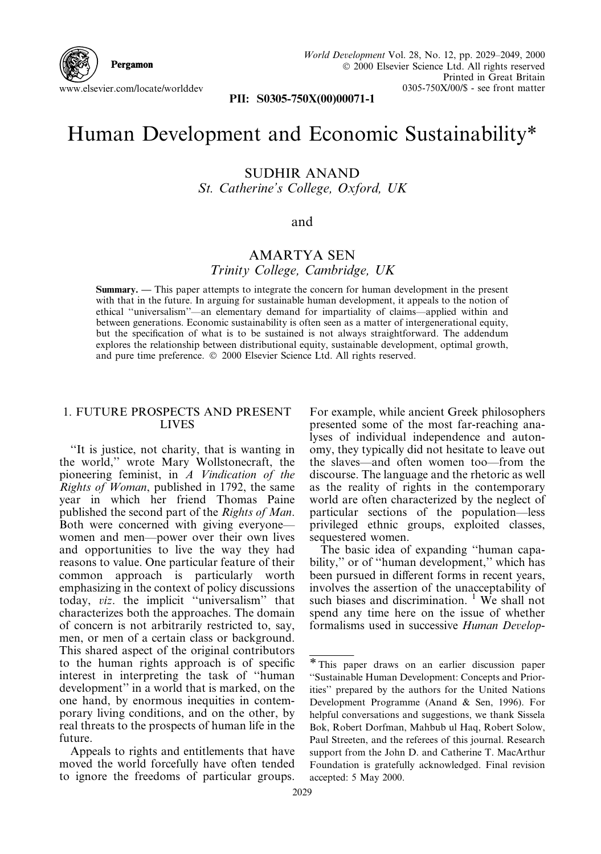

PII: S0305-750X(00)00071-1

# Human Development and Economic Sustainability\*

# SUDHIR ANAND

St. Catherine's College, Oxford, UK

# and

# AMARTYA SEN Trinity College, Cambridge, UK

**Summary.**  $\equiv$  This paper attempts to integrate the concern for human development in the present with that in the future. In arguing for sustainable human development, it appeals to the notion of ethical "universalism"—an elementary demand for impartiality of claims—applied within and between generations. Economic sustainability is often seen as a matter of intergenerational equity, but the specification of what is to be sustained is not always straightforward. The addendum explores the relationship between distributional equity, sustainable development, optimal growth, and pure time preference.  $\odot$  2000 Elsevier Science Ltd. All rights reserved.

## 1. FUTURE PROSPECTS AND PRESENT LIVES

``It is justice, not charity, that is wanting in the world,'' wrote Mary Wollstonecraft, the pioneering feminist, in A Vindication of the Rights of Woman, published in 1792, the same year in which her friend Thomas Paine published the second part of the Rights of Man. Both were concerned with giving everyone women and men—power over their own lives and opportunities to live the way they had reasons to value. One particular feature of their common approach is particularly worth emphasizing in the context of policy discussions today, *viz*, the implicit "universalism" that characterizes both the approaches. The domain of concern is not arbitrarily restricted to, say, men, or men of a certain class or background. This shared aspect of the original contributors to the human rights approach is of specific interest in interpreting the task of "human" development'' in a world that is marked, on the one hand, by enormous inequities in contemporary living conditions, and on the other, by real threats to the prospects of human life in the future.

Appeals to rights and entitlements that have moved the world forcefully have often tended to ignore the freedoms of particular groups.

For example, while ancient Greek philosophers presented some of the most far-reaching analyses of individual independence and autonomy, they typically did not hesitate to leave out the slaves—and often women too—from the discourse. The language and the rhetoric as well as the reality of rights in the contemporary world are often characterized by the neglect of particular sections of the population—less privileged ethnic groups, exploited classes, sequestered women.

The basic idea of expanding "human capability," or of "human development," which has been pursued in different forms in recent years, involves the assertion of the unacceptability of such biases and discrimination.  $\frac{1}{1}$  We shall not spend any time here on the issue of whether formalisms used in successive Human Develop-

<sup>\*</sup>This paper draws on an earlier discussion paper ``Sustainable Human Development: Concepts and Priorities'' prepared by the authors for the United Nations Development Programme (Anand & Sen, 1996). For helpful conversations and suggestions, we thank Sissela Bok, Robert Dorfman, Mahbub ul Haq, Robert Solow, Paul Streeten, and the referees of this journal. Research support from the John D. and Catherine T. MacArthur Foundation is gratefully acknowledged. Final revision accepted: 5 May 2000.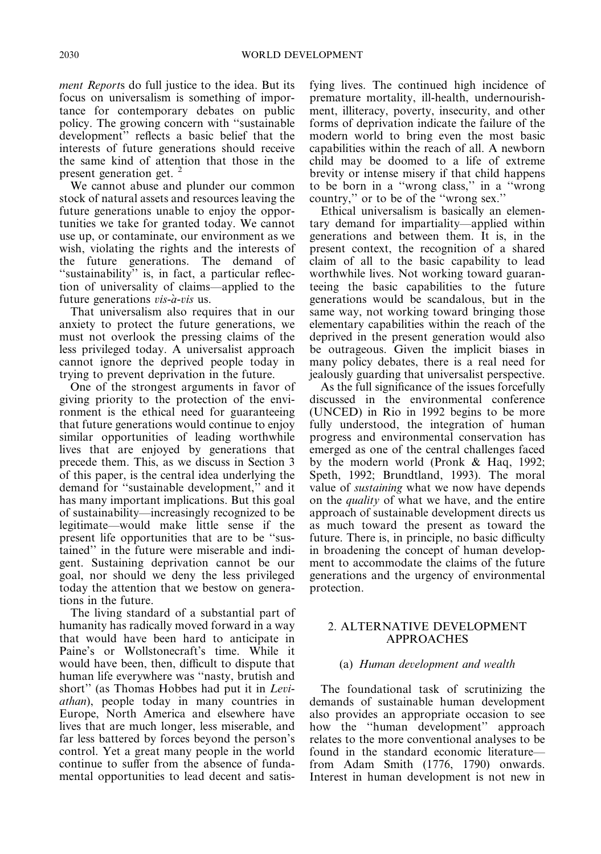ment Reports do full justice to the idea. But its focus on universalism is something of importance for contemporary debates on public policy. The growing concern with ``sustainable development" reflects a basic belief that the interests of future generations should receive the same kind of attention that those in the present generation get.  $^{2}$ 

We cannot abuse and plunder our common stock of natural assets and resources leaving the future generations unable to enjoy the opportunities we take for granted today. We cannot use up, or contaminate, our environment as we wish, violating the rights and the interests of the future generations. The demand of "sustainability" is, in fact, a particular reflection of universality of claims—applied to the future generations  $vis-\hat{a}-vis$  us.

That universalism also requires that in our anxiety to protect the future generations, we must not overlook the pressing claims of the less privileged today. A universalist approach cannot ignore the deprived people today in trying to prevent deprivation in the future.

One of the strongest arguments in favor of giving priority to the protection of the environment is the ethical need for guaranteeing that future generations would continue to enjoy similar opportunities of leading worthwhile lives that are enjoyed by generations that precede them. This, as we discuss in Section 3 of this paper, is the central idea underlying the demand for "sustainable development," and it has many important implications. But this goal of sustainability—increasingly recognized to be legitimate—would make little sense if the present life opportunities that are to be "sustained'' in the future were miserable and indigent. Sustaining deprivation cannot be our goal, nor should we deny the less privileged today the attention that we bestow on generations in the future.

The living standard of a substantial part of humanity has radically moved forward in a way that would have been hard to anticipate in Paine's or Wollstonecraft's time. While it would have been, then, difficult to dispute that human life everywhere was "nasty, brutish and short'' (as Thomas Hobbes had put it in Leviathan), people today in many countries in Europe, North America and elsewhere have lives that are much longer, less miserable, and far less battered by forces beyond the person's control. Yet a great many people in the world continue to suffer from the absence of fundamental opportunities to lead decent and satisfying lives. The continued high incidence of premature mortality, ill-health, undernourishment, illiteracy, poverty, insecurity, and other forms of deprivation indicate the failure of the modern world to bring even the most basic capabilities within the reach of all. A newborn child may be doomed to a life of extreme brevity or intense misery if that child happens to be born in a "wrong class," in a "wrong country," or to be of the "wrong sex."

Ethical universalism is basically an elementary demand for impartiality—applied within generations and between them. It is, in the present context, the recognition of a shared claim of all to the basic capability to lead worthwhile lives. Not working toward guaranteeing the basic capabilities to the future generations would be scandalous, but in the same way, not working toward bringing those elementary capabilities within the reach of the deprived in the present generation would also be outrageous. Given the implicit biases in many policy debates, there is a real need for jealously guarding that universalist perspective.

As the full significance of the issues forcefully discussed in the environmental conference (UNCED) in Rio in 1992 begins to be more fully understood, the integration of human progress and environmental conservation has emerged as one of the central challenges faced by the modern world (Pronk & Haq, 1992; Speth, 1992; Brundtland, 1993). The moral value of *sustaining* what we now have depends on the *quality* of what we have, and the entire approach of sustainable development directs us as much toward the present as toward the future. There is, in principle, no basic difficulty in broadening the concept of human development to accommodate the claims of the future generations and the urgency of environmental protection.

# 2. ALTERNATIVE DEVELOPMENT APPROACHES

#### (a) Human development and wealth

The foundational task of scrutinizing the demands of sustainable human development also provides an appropriate occasion to see how the "human development" approach relates to the more conventional analyses to be found in the standard economic literature from Adam Smith (1776, 1790) onwards. Interest in human development is not new in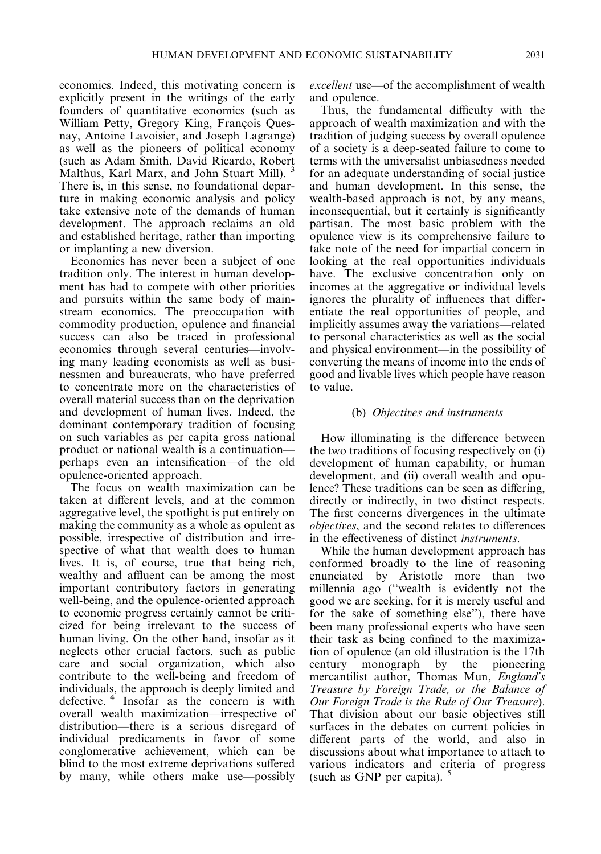economics. Indeed, this motivating concern is explicitly present in the writings of the early founders of quantitative economics (such as William Petty, Gregory King, François Quesnay, Antoine Lavoisier, and Joseph Lagrange) as well as the pioneers of political economy (such as Adam Smith, David Ricardo, Robert Malthus, Karl Marx, and John Stuart Mill).<sup>3</sup> There is, in this sense, no foundational departure in making economic analysis and policy take extensive note of the demands of human development. The approach reclaims an old and established heritage, rather than importing or implanting a new diversion.

Economics has never been a subject of one tradition only. The interest in human development has had to compete with other priorities and pursuits within the same body of mainstream economics. The preoccupation with commodity production, opulence and financial success can also be traced in professional economics through several centuries—involving many leading economists as well as businessmen and bureaucrats, who have preferred to concentrate more on the characteristics of overall material success than on the deprivation and development of human lives. Indeed, the dominant contemporary tradition of focusing on such variables as per capita gross national product or national wealth is a continuation perhaps even an intensification—of the old opulence-oriented approach.

The focus on wealth maximization can be taken at different levels, and at the common aggregative level, the spotlight is put entirely on making the community as a whole as opulent as possible, irrespective of distribution and irrespective of what that wealth does to human lives. It is, of course, true that being rich, wealthy and affluent can be among the most important contributory factors in generating well-being, and the opulence-oriented approach to economic progress certainly cannot be criticized for being irrelevant to the success of human living. On the other hand, insofar as it neglects other crucial factors, such as public care and social organization, which also contribute to the well-being and freedom of individuals, the approach is deeply limited and defective. <sup>4</sup> Insofar as the concern is with overall wealth maximization—irrespective of distribution—there is a serious disregard of individual predicaments in favor of some conglomerative achievement, which can be blind to the most extreme deprivations suffered by many, while others make use—possibly excellent use—of the accomplishment of wealth and opulence.

Thus, the fundamental difficulty with the approach of wealth maximization and with the tradition of judging success by overall opulence of a society is a deep-seated failure to come to terms with the universalist unbiasedness needed for an adequate understanding of social justice and human development. In this sense, the wealth-based approach is not, by any means, inconsequential, but it certainly is significantly partisan. The most basic problem with the opulence view is its comprehensive failure to take note of the need for impartial concern in looking at the real opportunities individuals have. The exclusive concentration only on incomes at the aggregative or individual levels ignores the plurality of influences that differentiate the real opportunities of people, and implicitly assumes away the variations—related to personal characteristics as well as the social and physical environment—in the possibility of converting the means of income into the ends of good and livable lives which people have reason to value.

#### (b) Objectives and instruments

How illuminating is the difference between the two traditions of focusing respectively on (i) development of human capability, or human development, and (ii) overall wealth and opulence? These traditions can be seen as differing, directly or indirectly, in two distinct respects. The first concerns divergences in the ultimate objectives, and the second relates to differences in the effectiveness of distinct *instruments*.

While the human development approach has conformed broadly to the line of reasoning enunciated by Aristotle more than two millennia ago ("wealth is evidently not the good we are seeking, for it is merely useful and for the sake of something else''), there have been many professional experts who have seen their task as being confined to the maximization of opulence (an old illustration is the 17th century monograph by the pioneering mercantilist author, Thomas Mun, England's Treasure by Foreign Trade, or the Balance of Our Foreign Trade is the Rule of Our Treasure). That division about our basic objectives still surfaces in the debates on current policies in different parts of the world, and also in discussions about what importance to attach to various indicators and criteria of progress (such as GNP per capita).  $\degree$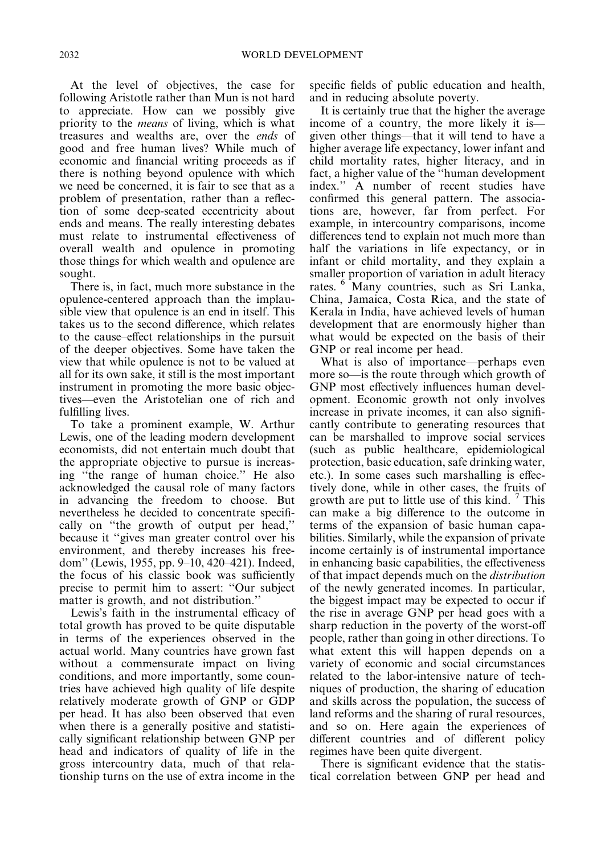At the level of objectives, the case for following Aristotle rather than Mun is not hard to appreciate. How can we possibly give priority to the means of living, which is what treasures and wealths are, over the ends of good and free human lives? While much of economic and financial writing proceeds as if there is nothing beyond opulence with which we need be concerned, it is fair to see that as a problem of presentation, rather than a reflection of some deep-seated eccentricity about ends and means. The really interesting debates must relate to instrumental effectiveness of overall wealth and opulence in promoting those things for which wealth and opulence are sought.

There is, in fact, much more substance in the opulence-centered approach than the implausible view that opulence is an end in itself. This takes us to the second difference, which relates to the cause-effect relationships in the pursuit of the deeper objectives. Some have taken the view that while opulence is not to be valued at all for its own sake, it still is the most important instrument in promoting the more basic objectives—even the Aristotelian one of rich and fulfilling lives.

To take a prominent example, W. Arthur Lewis, one of the leading modern development economists, did not entertain much doubt that the appropriate objective to pursue is increasing "the range of human choice." He also acknowledged the causal role of many factors in advancing the freedom to choose. But nevertheless he decided to concentrate specifically on "the growth of output per head," because it "gives man greater control over his environment, and thereby increases his freedom" (Lewis, 1955, pp. 9 $-10$ , 420 $-421$ ). Indeed, the focus of his classic book was sufficiently precise to permit him to assert: "Our subject matter is growth, and not distribution.''

Lewis's faith in the instrumental efficacy of total growth has proved to be quite disputable in terms of the experiences observed in the actual world. Many countries have grown fast without a commensurate impact on living conditions, and more importantly, some countries have achieved high quality of life despite relatively moderate growth of GNP or GDP per head. It has also been observed that even when there is a generally positive and statistically significant relationship between GNP per head and indicators of quality of life in the gross intercountry data, much of that relationship turns on the use of extra income in the specific fields of public education and health, and in reducing absolute poverty.

It is certainly true that the higher the average income of a country, the more likely it isgiven other things—that it will tend to have a higher average life expectancy, lower infant and child mortality rates, higher literacy, and in fact, a higher value of the "human development" index.'' A number of recent studies have confirmed this general pattern. The associations are, however, far from perfect. For example, in intercountry comparisons, income differences tend to explain not much more than half the variations in life expectancy, or in infant or child mortality, and they explain a smaller proportion of variation in adult literacy rates. <sup>6</sup> Many countries, such as Sri Lanka, China, Jamaica, Costa Rica, and the state of Kerala in India, have achieved levels of human development that are enormously higher than what would be expected on the basis of their GNP or real income per head.

What is also of importance—perhaps even more so—is the route through which growth of GNP most effectively influences human development. Economic growth not only involves increase in private incomes, it can also significantly contribute to generating resources that can be marshalled to improve social services (such as public healthcare, epidemiological protection, basic education, safe drinking water, etc.). In some cases such marshalling is effectively done, while in other cases, the fruits of growth are put to little use of this kind.  $\frac{7}{1}$  This can make a big difference to the outcome in terms of the expansion of basic human capabilities. Similarly, while the expansion of private income certainly is of instrumental importance in enhancing basic capabilities, the effectiveness of that impact depends much on the distribution of the newly generated incomes. In particular, the biggest impact may be expected to occur if the rise in average GNP per head goes with a sharp reduction in the poverty of the worst-o people, rather than going in other directions. To what extent this will happen depends on a variety of economic and social circumstances related to the labor-intensive nature of techniques of production, the sharing of education and skills across the population, the success of land reforms and the sharing of rural resources, and so on. Here again the experiences of different countries and of different policy regimes have been quite divergent.

There is significant evidence that the statistical correlation between GNP per head and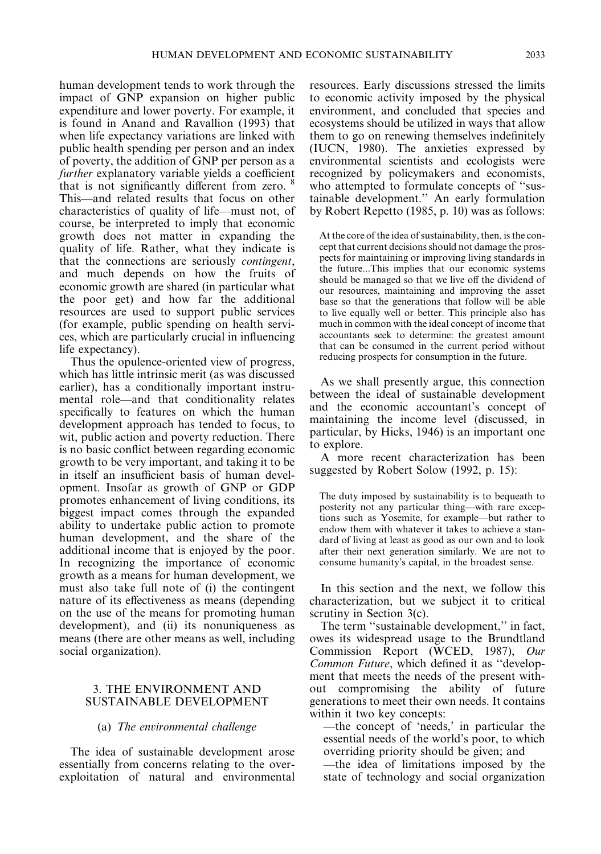human development tends to work through the impact of GNP expansion on higher public expenditure and lower poverty. For example, it is found in Anand and Ravallion (1993) that when life expectancy variations are linked with public health spending per person and an index of poverty, the addition of GNP per person as a further explanatory variable yields a coefficient that is not significantly different from zero.  $8$ This—and related results that focus on other characteristics of quality of life—must not, of course, be interpreted to imply that economic growth does not matter in expanding the quality of life. Rather, what they indicate is that the connections are seriously contingent, and much depends on how the fruits of economic growth are shared (in particular what the poor get) and how far the additional resources are used to support public services (for example, public spending on health services, which are particularly crucial in influencing life expectancy).

Thus the opulence-oriented view of progress, which has little intrinsic merit (as was discussed earlier), has a conditionally important instrumental role—and that conditionality relates specifically to features on which the human development approach has tended to focus, to wit, public action and poverty reduction. There is no basic conflict between regarding economic growth to be very important, and taking it to be in itself an insufficient basis of human development. Insofar as growth of GNP or GDP promotes enhancement of living conditions, its biggest impact comes through the expanded ability to undertake public action to promote human development, and the share of the additional income that is enjoyed by the poor. In recognizing the importance of economic growth as a means for human development, we must also take full note of (i) the contingent nature of its effectiveness as means (depending on the use of the means for promoting human development), and (ii) its nonuniqueness as means (there are other means as well, including social organization).

# 3. THE ENVIRONMENT AND SUSTAINABLE DEVELOPMENT

## (a) The environmental challenge

The idea of sustainable development arose essentially from concerns relating to the overexploitation of natural and environmental

resources. Early discussions stressed the limits to economic activity imposed by the physical environment, and concluded that species and ecosystems should be utilized in ways that allow them to go on renewing themselves indefinitely (IUCN, 1980). The anxieties expressed by environmental scientists and ecologists were recognized by policymakers and economists, who attempted to formulate concepts of "sustainable development.'' An early formulation by Robert Repetto (1985, p. 10) was as follows:

At the core of the idea of sustainability, then, is the concept that current decisions should not damage the prospects for maintaining or improving living standards in the future...This implies that our economic systems should be managed so that we live off the dividend of our resources, maintaining and improving the asset base so that the generations that follow will be able to live equally well or better. This principle also has much in common with the ideal concept of income that accountants seek to determine: the greatest amount that can be consumed in the current period without reducing prospects for consumption in the future.

As we shall presently argue, this connection between the ideal of sustainable development and the economic accountant's concept of maintaining the income level (discussed, in particular, by Hicks, 1946) is an important one to explore.

A more recent characterization has been suggested by Robert Solow (1992, p. 15):

The duty imposed by sustainability is to bequeath to posterity not any particular thing-with rare exceptions such as Yosemite, for example—but rather to endow them with whatever it takes to achieve a standard of living at least as good as our own and to look after their next generation similarly. We are not to consume humanity's capital, in the broadest sense.

In this section and the next, we follow this characterization, but we subject it to critical scrutiny in Section 3(c).

The term "sustainable development," in fact, owes its widespread usage to the Brundtland Commission Report (WCED, 1987), Our Common Future, which defined it as "development that meets the needs of the present without compromising the ability of future generations to meet their own needs. It contains within it two key concepts:

Ðthe concept of `needs,' in particular the essential needs of the world's poor, to which overriding priority should be given; and

the idea of limitations imposed by the state of technology and social organization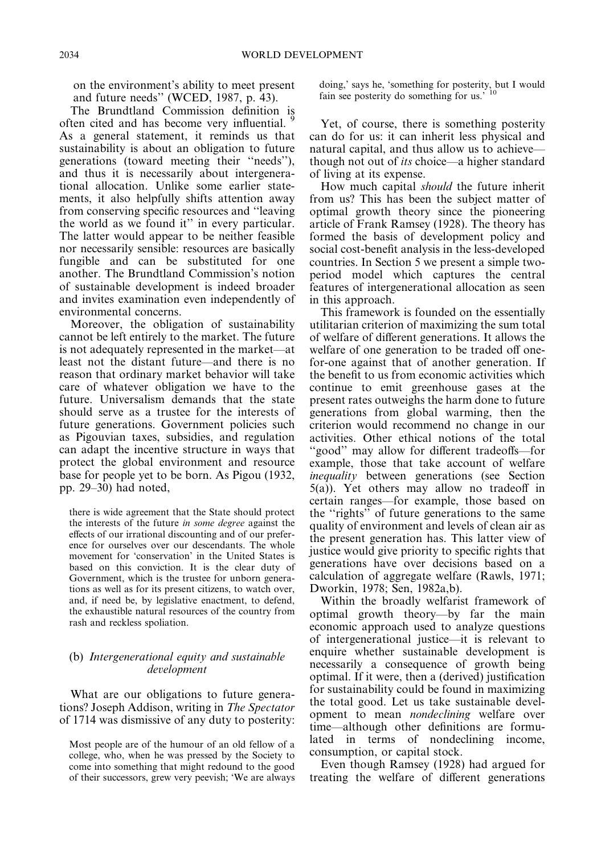on the environment's ability to meet present and future needs'' (WCED, 1987, p. 43).

The Brundtland Commission definition is often cited and has become very influential. As a general statement, it reminds us that sustainability is about an obligation to future generations (toward meeting their ``needs''), and thus it is necessarily about intergenerational allocation. Unlike some earlier statements, it also helpfully shifts attention away from conserving specific resources and "leaving" the world as we found it'' in every particular. The latter would appear to be neither feasible nor necessarily sensible: resources are basically fungible and can be substituted for one another. The Brundtland Commission's notion of sustainable development is indeed broader and invites examination even independently of environmental concerns.

Moreover, the obligation of sustainability cannot be left entirely to the market. The future is not adequately represented in the market—at least not the distant future—and there is no reason that ordinary market behavior will take care of whatever obligation we have to the future. Universalism demands that the state should serve as a trustee for the interests of future generations. Government policies such as Pigouvian taxes, subsidies, and regulation can adapt the incentive structure in ways that protect the global environment and resource base for people yet to be born. As Pigou (1932, pp.  $29-30$ ) had noted,

there is wide agreement that the State should protect the interests of the future in some degree against the effects of our irrational discounting and of our preference for ourselves over our descendants. The whole movement for 'conservation' in the United States is based on this conviction. It is the clear duty of Government, which is the trustee for unborn generations as well as for its present citizens, to watch over, and, if need be, by legislative enactment, to defend, the exhaustible natural resources of the country from rash and reckless spoliation.

# (b) Intergenerational equity and sustainable development

What are our obligations to future generations? Joseph Addison, writing in The Spectator of 1714 was dismissive of any duty to posterity:

Most people are of the humour of an old fellow of a college, who, when he was pressed by the Society to come into something that might redound to the good of their successors, grew very peevish; `We are always doing,' says he, 'something for posterity, but I would fain see posterity do something for us.'

Yet, of course, there is something posterity can do for us: it can inherit less physical and natural capital, and thus allow us to achieve though not out of its choice—a higher standard of living at its expense.

How much capital should the future inherit from us? This has been the subject matter of optimal growth theory since the pioneering article of Frank Ramsey (1928). The theory has formed the basis of development policy and social cost-benefit analysis in the less-developed countries. In Section 5 we present a simple twoperiod model which captures the central features of intergenerational allocation as seen in this approach.

This framework is founded on the essentially utilitarian criterion of maximizing the sum total of welfare of different generations. It allows the welfare of one generation to be traded off onefor-one against that of another generation. If the benefit to us from economic activities which continue to emit greenhouse gases at the present rates outweighs the harm done to future generations from global warming, then the criterion would recommend no change in our activities. Other ethical notions of the total "good" may allow for different tradeoffs—for example, those that take account of welfare inequality between generations (see Section  $5(a)$ ). Yet others may allow no tradeoff in certain ranges—for example, those based on the "rights" of future generations to the same quality of environment and levels of clean air as the present generation has. This latter view of justice would give priority to specific rights that generations have over decisions based on a calculation of aggregate welfare (Rawls, 1971; Dworkin, 1978; Sen, 1982a,b).

Within the broadly welfarist framework of optimal growth theory—by far the main economic approach used to analyze questions of intergenerational justice—it is relevant to enquire whether sustainable development is necessarily a consequence of growth being optimal. If it were, then a (derived) justification for sustainability could be found in maximizing the total good. Let us take sustainable development to mean nondeclining welfare over time—although other definitions are formulated in terms of nondeclining income, consumption, or capital stock.

Even though Ramsey (1928) had argued for treating the welfare of different generations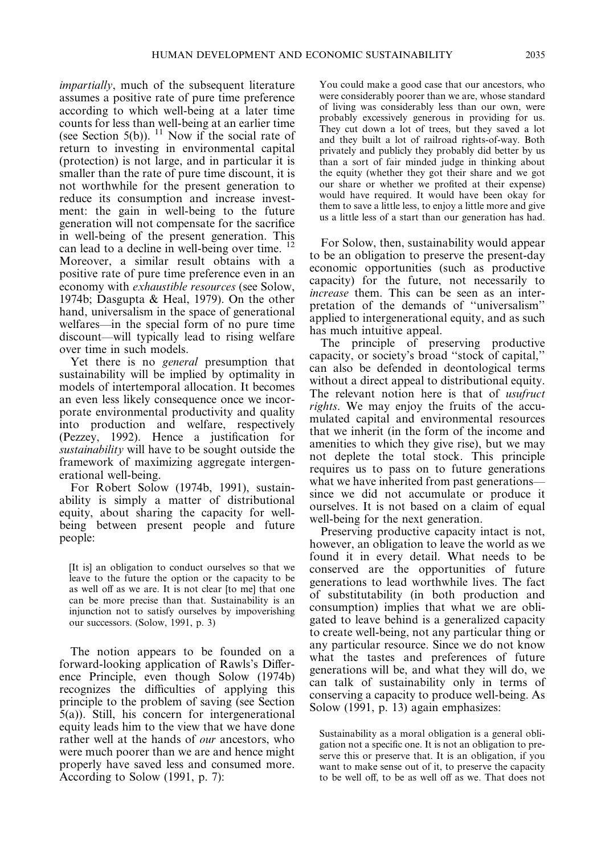impartially, much of the subsequent literature assumes a positive rate of pure time preference according to which well-being at a later time counts for less than well-being at an earlier time (see Section 5(b)).  $^{11}$  Now if the social rate of return to investing in environmental capital (protection) is not large, and in particular it is smaller than the rate of pure time discount, it is not worthwhile for the present generation to reduce its consumption and increase investment: the gain in well-being to the future generation will not compensate for the sacrifice in well-being of the present generation. This can lead to a decline in well-being over time. <sup>12</sup> Moreover, a similar result obtains with a positive rate of pure time preference even in an economy with exhaustible resources (see Solow, 1974b; Dasgupta & Heal, 1979). On the other hand, universalism in the space of generational welfares—in the special form of no pure time discount—will typically lead to rising welfare over time in such models.

Yet there is no *general* presumption that sustainability will be implied by optimality in models of intertemporal allocation. It becomes an even less likely consequence once we incorporate environmental productivity and quality into production and welfare, respectively  $(Pezzev, 1992)$ . Hence a justification for sustainability will have to be sought outside the framework of maximizing aggregate intergenerational well-being.

For Robert Solow (1974b, 1991), sustainability is simply a matter of distributional equity, about sharing the capacity for wellbeing between present people and future people:

[It is] an obligation to conduct ourselves so that we leave to the future the option or the capacity to be as well off as we are. It is not clear [to me] that one can be more precise than that. Sustainability is an injunction not to satisfy ourselves by impoverishing our successors. (Solow, 1991, p. 3)

The notion appears to be founded on a forward-looking application of Rawls's Difference Principle, even though Solow (1974b) recognizes the difficulties of applying this principle to the problem of saving (see Section 5(a)). Still, his concern for intergenerational equity leads him to the view that we have done rather well at the hands of *our* ancestors, who were much poorer than we are and hence might properly have saved less and consumed more. According to Solow (1991, p. 7):

You could make a good case that our ancestors, who were considerably poorer than we are, whose standard of living was considerably less than our own, were probably excessively generous in providing for us. They cut down a lot of trees, but they saved a lot and they built a lot of railroad rights-of-way. Both privately and publicly they probably did better by us than a sort of fair minded judge in thinking about the equity (whether they got their share and we got our share or whether we profited at their expense) would have required. It would have been okay for them to save a little less, to enjoy a little more and give us a little less of a start than our generation has had.

For Solow, then, sustainability would appear to be an obligation to preserve the present-day economic opportunities (such as productive capacity) for the future, not necessarily to increase them. This can be seen as an interpretation of the demands of "universalism" applied to intergenerational equity, and as such has much intuitive appeal.

The principle of preserving productive capacity, or society's broad "stock of capital," can also be defended in deontological terms without a direct appeal to distributional equity. The relevant notion here is that of *usufruct* rights. We may enjoy the fruits of the accumulated capital and environmental resources that we inherit (in the form of the income and amenities to which they give rise), but we may not deplete the total stock. This principle requires us to pass on to future generations what we have inherited from past generations since we did not accumulate or produce it ourselves. It is not based on a claim of equal well-being for the next generation.

Preserving productive capacity intact is not, however, an obligation to leave the world as we found it in every detail. What needs to be conserved are the opportunities of future generations to lead worthwhile lives. The fact of substitutability (in both production and consumption) implies that what we are obligated to leave behind is a generalized capacity to create well-being, not any particular thing or any particular resource. Since we do not know what the tastes and preferences of future generations will be, and what they will do, we can talk of sustainability only in terms of conserving a capacity to produce well-being. As Solow (1991, p. 13) again emphasizes:

Sustainability as a moral obligation is a general obligation not a specific one. It is not an obligation to preserve this or preserve that. It is an obligation, if you want to make sense out of it, to preserve the capacity to be well off, to be as well off as we. That does not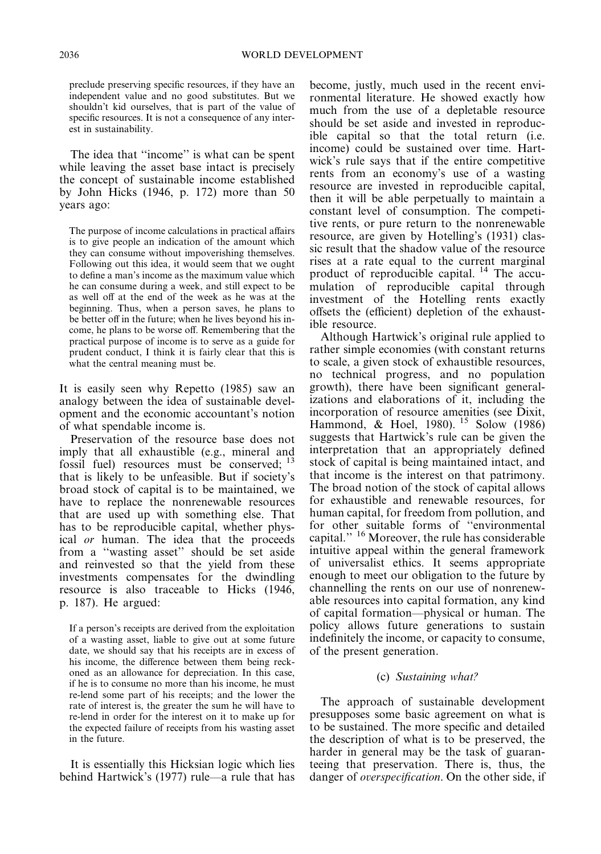preclude preserving specific resources, if they have an independent value and no good substitutes. But we shouldn't kid ourselves, that is part of the value of specific resources. It is not a consequence of any interest in sustainability.

The idea that "income" is what can be spent while leaving the asset base intact is precisely the concept of sustainable income established by John Hicks (1946, p. 172) more than 50 years ago:

The purpose of income calculations in practical affairs is to give people an indication of the amount which they can consume without impoverishing themselves. Following out this idea, it would seem that we ought to define a man's income as the maximum value which he can consume during a week, and still expect to be as well off at the end of the week as he was at the beginning. Thus, when a person saves, he plans to be better off in the future; when he lives beyond his income, he plans to be worse off. Remembering that the practical purpose of income is to serve as a guide for prudent conduct, I think it is fairly clear that this is what the central meaning must be.

It is easily seen why Repetto (1985) saw an analogy between the idea of sustainable development and the economic accountant's notion of what spendable income is.

Preservation of the resource base does not imply that all exhaustible (e.g., mineral and fossil fuel) resources must be conserved; <sup>13</sup> that is likely to be unfeasible. But if society's broad stock of capital is to be maintained, we have to replace the nonrenewable resources that are used up with something else. That has to be reproducible capital, whether physical or human. The idea that the proceeds from a "wasting asset" should be set aside and reinvested so that the yield from these investments compensates for the dwindling resource is also traceable to Hicks (1946, p. 187). He argued:

If a person's receipts are derived from the exploitation of a wasting asset, liable to give out at some future date, we should say that his receipts are in excess of his income, the difference between them being reckoned as an allowance for depreciation. In this case, if he is to consume no more than his income, he must re-lend some part of his receipts; and the lower the rate of interest is, the greater the sum he will have to re-lend in order for the interest on it to make up for the expected failure of receipts from his wasting asset in the future.

It is essentially this Hicksian logic which lies behind Hartwick's (1977) rule—a rule that has

become, justly, much used in the recent environmental literature. He showed exactly how much from the use of a depletable resource should be set aside and invested in reproducible capital so that the total return (i.e. income) could be sustained over time. Hartwick's rule says that if the entire competitive rents from an economy's use of a wasting resource are invested in reproducible capital, then it will be able perpetually to maintain a constant level of consumption. The competitive rents, or pure return to the nonrenewable resource, are given by Hotelling's (1931) classic result that the shadow value of the resource rises at a rate equal to the current marginal product of reproducible capital. <sup>14</sup> The accumulation of reproducible capital through investment of the Hotelling rents exactly offsets the (efficient) depletion of the exhaustible resource.

Although Hartwick's original rule applied to rather simple economies (with constant returns to scale, a given stock of exhaustible resources, no technical progress, and no population growth), there have been significant generalizations and elaborations of it, including the incorporation of resource amenities (see Dixit, Hammond, & Hoel, 1980). <sup>15</sup> Solow (1986) suggests that Hartwick's rule can be given the interpretation that an appropriately defined stock of capital is being maintained intact, and that income is the interest on that patrimony. The broad notion of the stock of capital allows for exhaustible and renewable resources, for human capital, for freedom from pollution, and for other suitable forms of "environmental capital.'' <sup>16</sup> Moreover, the rule has considerable intuitive appeal within the general framework of universalist ethics. It seems appropriate enough to meet our obligation to the future by channelling the rents on our use of nonrenewable resources into capital formation, any kind of capital formation—physical or human. The policy allows future generations to sustain indefinitely the income, or capacity to consume, of the present generation.

#### (c) Sustaining what?

The approach of sustainable development presupposes some basic agreement on what is to be sustained. The more specific and detailed the description of what is to be preserved, the harder in general may be the task of guaranteeing that preservation. There is, thus, the danger of *overspecification*. On the other side, if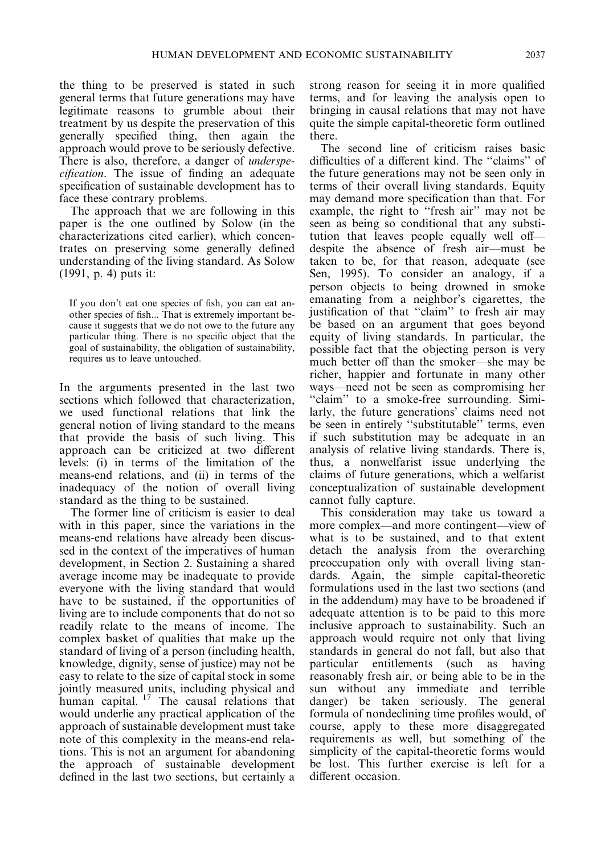the thing to be preserved is stated in such general terms that future generations may have legitimate reasons to grumble about their treatment by us despite the preservation of this generally specified thing, then again the approach would prove to be seriously defective. There is also, therefore, a danger of underspecification. The issue of finding an adequate specification of sustainable development has to face these contrary problems.

The approach that we are following in this paper is the one outlined by Solow (in the characterizations cited earlier), which concentrates on preserving some generally defined understanding of the living standard. As Solow (1991, p. 4) puts it:

If you don't eat one species of fish, you can eat another species of fish... That is extremely important because it suggests that we do not owe to the future any particular thing. There is no specific object that the goal of sustainability, the obligation of sustainability, requires us to leave untouched.

In the arguments presented in the last two sections which followed that characterization, we used functional relations that link the general notion of living standard to the means that provide the basis of such living. This approach can be criticized at two different levels: (i) in terms of the limitation of the means-end relations, and (ii) in terms of the inadequacy of the notion of overall living standard as the thing to be sustained.

The former line of criticism is easier to deal with in this paper, since the variations in the means-end relations have already been discussed in the context of the imperatives of human development, in Section 2. Sustaining a shared average income may be inadequate to provide everyone with the living standard that would have to be sustained, if the opportunities of living are to include components that do not so readily relate to the means of income. The complex basket of qualities that make up the standard of living of a person (including health, knowledge, dignity, sense of justice) may not be easy to relate to the size of capital stock in some jointly measured units, including physical and<br>human capital.<sup>17</sup> The causal relations that would underlie any practical application of the approach of sustainable development must take note of this complexity in the means-end relations. This is not an argument for abandoning the approach of sustainable development defined in the last two sections, but certainly a

strong reason for seeing it in more qualified terms, and for leaving the analysis open to bringing in causal relations that may not have quite the simple capital-theoretic form outlined there.

The second line of criticism raises basic difficulties of a different kind. The "claims" of the future generations may not be seen only in terms of their overall living standards. Equity may demand more specification than that. For example, the right to "fresh air" may not be seen as being so conditional that any substitution that leaves people equally well off despite the absence of fresh air—must be taken to be, for that reason, adequate (see Sen, 1995). To consider an analogy, if a person objects to being drowned in smoke emanating from a neighbor's cigarettes, the justification of that "claim" to fresh air may be based on an argument that goes beyond equity of living standards. In particular, the possible fact that the objecting person is very much better off than the smoker—she may be richer, happier and fortunate in many other ways—need not be seen as compromising her "claim" to a smoke-free surrounding. Similarly, the future generations' claims need not be seen in entirely "substitutable" terms, even if such substitution may be adequate in an analysis of relative living standards. There is, thus, a nonwelfarist issue underlying the claims of future generations, which a welfarist conceptualization of sustainable development cannot fully capture.

This consideration may take us toward a more complex—and more contingent—view of what is to be sustained, and to that extent detach the analysis from the overarching preoccupation only with overall living standards. Again, the simple capital-theoretic formulations used in the last two sections (and in the addendum) may have to be broadened if adequate attention is to be paid to this more inclusive approach to sustainability. Such an approach would require not only that living standards in general do not fall, but also that particular entitlements (such as having reasonably fresh air, or being able to be in the sun without any immediate and terrible danger) be taken seriously. The general formula of nondeclining time profiles would, of course, apply to these more disaggregated requirements as well, but something of the simplicity of the capital-theoretic forms would be lost. This further exercise is left for a different occasion.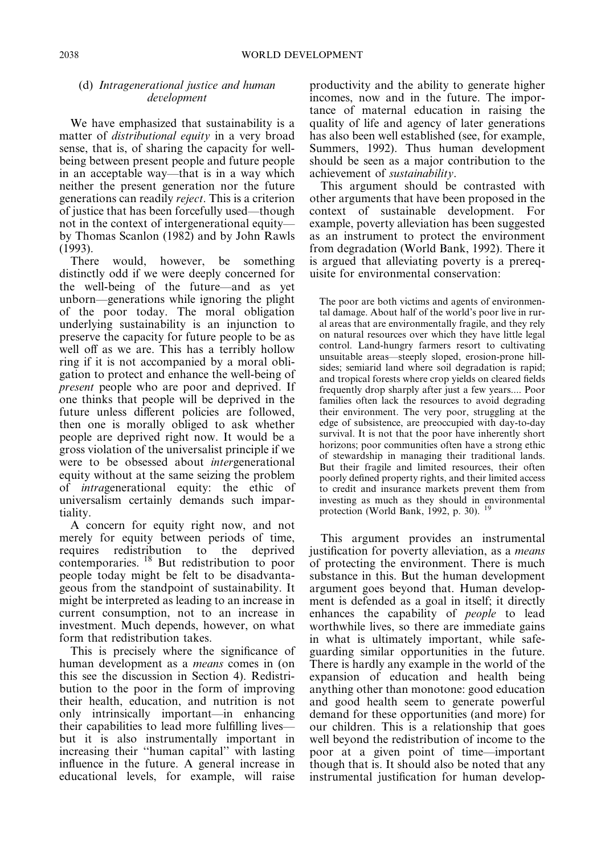## (d) Intragenerational justice and human development

We have emphasized that sustainability is a matter of *distributional equity* in a very broad sense, that is, of sharing the capacity for wellbeing between present people and future people in an acceptable way—that is in a way which neither the present generation nor the future generations can readily reject. This is a criterion of justice that has been forcefully used—though not in the context of intergenerational equity by Thomas Scanlon (1982) and by John Rawls (1993).

There would, however, be something distinctly odd if we were deeply concerned for the well-being of the future—and as yet unborn—generations while ignoring the plight of the poor today. The moral obligation underlying sustainability is an injunction to preserve the capacity for future people to be as well off as we are. This has a terribly hollow ring if it is not accompanied by a moral obligation to protect and enhance the well-being of present people who are poor and deprived. If one thinks that people will be deprived in the future unless different policies are followed, then one is morally obliged to ask whether people are deprived right now. It would be a gross violation of the universalist principle if we were to be obsessed about intergenerational equity without at the same seizing the problem of intragenerational equity: the ethic of universalism certainly demands such impartiality.

A concern for equity right now, and not merely for equity between periods of time, requires redistribution to the deprived contemporaries. <sup>18</sup> But redistribution to poor people today might be felt to be disadvantageous from the standpoint of sustainability. It might be interpreted as leading to an increase in current consumption, not to an increase in investment. Much depends, however, on what form that redistribution takes.

This is precisely where the significance of human development as a *means* comes in (on this see the discussion in Section 4). Redistribution to the poor in the form of improving their health, education, and nutrition is not only intrinsically important—in enhancing their capabilities to lead more fulfilling lives but it is also instrumentally important in increasing their "human capital" with lasting influence in the future. A general increase in educational levels, for example, will raise

productivity and the ability to generate higher incomes, now and in the future. The importance of maternal education in raising the quality of life and agency of later generations has also been well established (see, for example, Summers, 1992). Thus human development should be seen as a major contribution to the achievement of sustainability.

This argument should be contrasted with other arguments that have been proposed in the context of sustainable development. For example, poverty alleviation has been suggested as an instrument to protect the environment from degradation (World Bank, 1992). There it is argued that alleviating poverty is a prerequisite for environmental conservation:

The poor are both victims and agents of environmental damage. About half of the world's poor live in rural areas that are environmentally fragile, and they rely on natural resources over which they have little legal control. Land-hungry farmers resort to cultivating unsuitable areas—steeply sloped, erosion-prone hillsides; semiarid land where soil degradation is rapid; and tropical forests where crop yields on cleared fields frequently drop sharply after just a few years.... Poor families often lack the resources to avoid degrading their environment. The very poor, struggling at the edge of subsistence, are preoccupied with day-to-day survival. It is not that the poor have inherently short horizons; poor communities often have a strong ethic of stewardship in managing their traditional lands. But their fragile and limited resources, their often poorly defined property rights, and their limited access to credit and insurance markets prevent them from investing as much as they should in environmental protection (World Bank, 1992, p. 30). <sup>19</sup>

This argument provides an instrumental justification for poverty alleviation, as a *means* of protecting the environment. There is much substance in this. But the human development argument goes beyond that. Human development is defended as a goal in itself; it directly enhances the capability of *people* to lead worthwhile lives, so there are immediate gains in what is ultimately important, while safeguarding similar opportunities in the future. There is hardly any example in the world of the expansion of education and health being anything other than monotone: good education and good health seem to generate powerful demand for these opportunities (and more) for our children. This is a relationship that goes well beyond the redistribution of income to the poor at a given point of time—important though that is. It should also be noted that any instrumental justification for human develop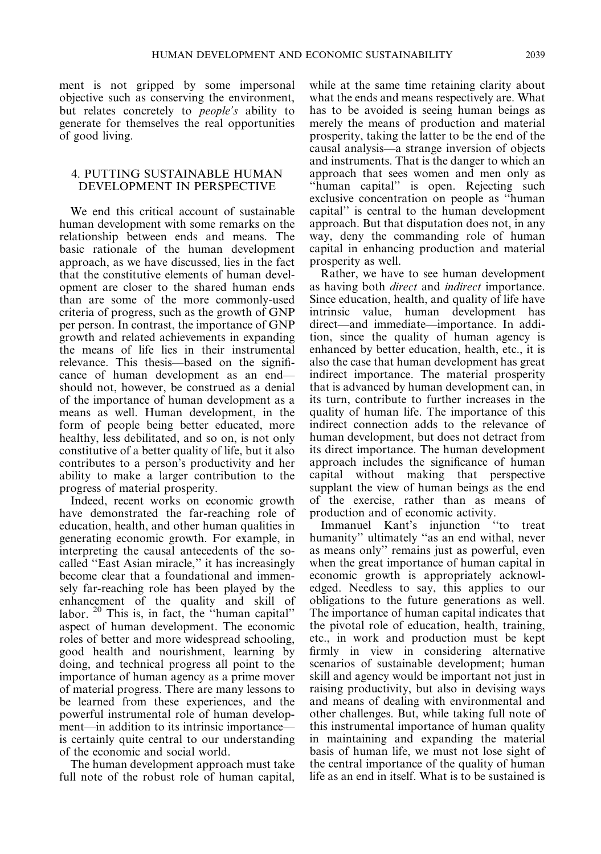ment is not gripped by some impersonal objective such as conserving the environment, but relates concretely to people's ability to generate for themselves the real opportunities of good living.

# 4. PUTTING SUSTAINABLE HUMAN DEVELOPMENT IN PERSPECTIVE

We end this critical account of sustainable human development with some remarks on the relationship between ends and means. The basic rationale of the human development approach, as we have discussed, lies in the fact that the constitutive elements of human development are closer to the shared human ends than are some of the more commonly-used criteria of progress, such as the growth of GNP per person. In contrast, the importance of GNP growth and related achievements in expanding the means of life lies in their instrumental relevance. This thesis—based on the significance of human development as an end should not, however, be construed as a denial of the importance of human development as a means as well. Human development, in the form of people being better educated, more healthy, less debilitated, and so on, is not only constitutive of a better quality of life, but it also contributes to a person's productivity and her ability to make a larger contribution to the progress of material prosperity.

Indeed, recent works on economic growth have demonstrated the far-reaching role of education, health, and other human qualities in generating economic growth. For example, in interpreting the causal antecedents of the socalled "East Asian miracle," it has increasingly become clear that a foundational and immensely far-reaching role has been played by the enhancement of the quality and skill of labor. <sup>20</sup> This is, in fact, the "human capital" aspect of human development. The economic roles of better and more widespread schooling, good health and nourishment, learning by doing, and technical progress all point to the importance of human agency as a prime mover of material progress. There are many lessons to be learned from these experiences, and the powerful instrumental role of human development—in addition to its intrinsic importanceis certainly quite central to our understanding of the economic and social world.

The human development approach must take full note of the robust role of human capital,

while at the same time retaining clarity about what the ends and means respectively are. What has to be avoided is seeing human beings as merely the means of production and material prosperity, taking the latter to be the end of the causal analysis—a strange inversion of objects and instruments. That is the danger to which an approach that sees women and men only as ``human capital'' is open. Rejecting such exclusive concentration on people as "human capital'' is central to the human development approach. But that disputation does not, in any way, deny the commanding role of human capital in enhancing production and material prosperity as well.

Rather, we have to see human development as having both *direct* and *indirect* importance. Since education, health, and quality of life have intrinsic value, human development has direct—and immediate—importance. In addition, since the quality of human agency is enhanced by better education, health, etc., it is also the case that human development has great indirect importance. The material prosperity that is advanced by human development can, in its turn, contribute to further increases in the quality of human life. The importance of this indirect connection adds to the relevance of human development, but does not detract from its direct importance. The human development approach includes the significance of human capital without making that perspective supplant the view of human beings as the end of the exercise, rather than as means of production and of economic activity.

Immanuel Kant's injunction "to treat humanity" ultimately "as an end withal, never as means only'' remains just as powerful, even when the great importance of human capital in economic growth is appropriately acknowledged. Needless to say, this applies to our obligations to the future generations as well. The importance of human capital indicates that the pivotal role of education, health, training, etc., in work and production must be kept firmly in view in considering alternative scenarios of sustainable development; human skill and agency would be important not just in raising productivity, but also in devising ways and means of dealing with environmental and other challenges. But, while taking full note of this instrumental importance of human quality in maintaining and expanding the material basis of human life, we must not lose sight of the central importance of the quality of human life as an end in itself. What is to be sustained is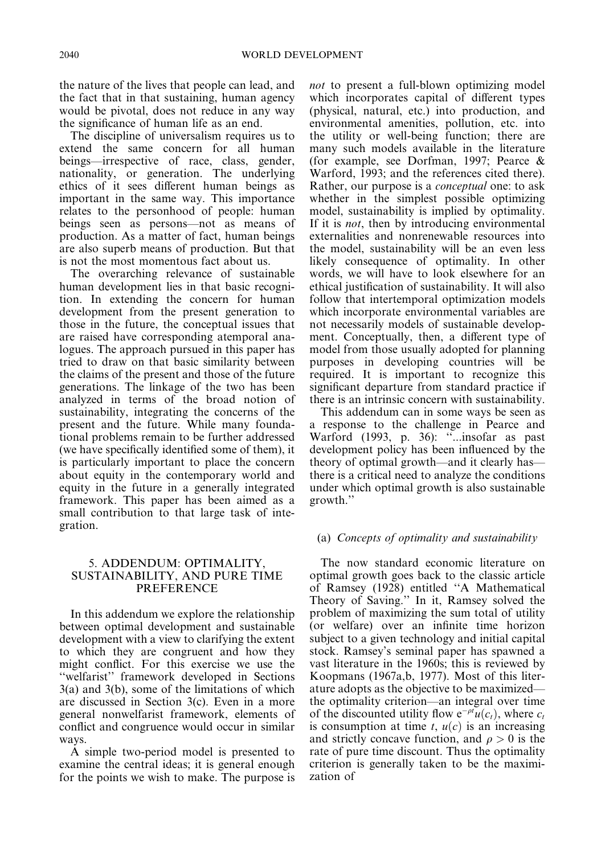the nature of the lives that people can lead, and the fact that in that sustaining, human agency would be pivotal, does not reduce in any way the significance of human life as an end.

The discipline of universalism requires us to extend the same concern for all human beings—irrespective of race, class, gender, nationality, or generation. The underlying ethics of it sees different human beings as important in the same way. This importance relates to the personhood of people: human beings seen as persons—not as means of production. As a matter of fact, human beings are also superb means of production. But that is not the most momentous fact about us.

The overarching relevance of sustainable human development lies in that basic recognition. In extending the concern for human development from the present generation to those in the future, the conceptual issues that are raised have corresponding atemporal analogues. The approach pursued in this paper has tried to draw on that basic similarity between the claims of the present and those of the future generations. The linkage of the two has been analyzed in terms of the broad notion of sustainability, integrating the concerns of the present and the future. While many foundational problems remain to be further addressed (we have specifically identified some of them), it is particularly important to place the concern about equity in the contemporary world and equity in the future in a generally integrated framework. This paper has been aimed as a small contribution to that large task of integration.

# 5. ADDENDUM: OPTIMALITY, SUSTAINABILITY, AND PURE TIME PREFERENCE

In this addendum we explore the relationship between optimal development and sustainable development with a view to clarifying the extent to which they are congruent and how they might conflict. For this exercise we use the ``welfarist'' framework developed in Sections 3(a) and 3(b), some of the limitations of which are discussed in Section 3(c). Even in a more general nonwelfarist framework, elements of conflict and congruence would occur in similar ways.

A simple two-period model is presented to examine the central ideas; it is general enough for the points we wish to make. The purpose is not to present a full-blown optimizing model which incorporates capital of different types (physical, natural, etc.) into production, and environmental amenities, pollution, etc. into the utility or well-being function; there are many such models available in the literature (for example, see Dorfman, 1997; Pearce & Warford, 1993; and the references cited there). Rather, our purpose is a *conceptual* one: to ask whether in the simplest possible optimizing model, sustainability is implied by optimality. If it is *not*, then by introducing environmental externalities and nonrenewable resources into the model, sustainability will be an even less likely consequence of optimality. In other words, we will have to look elsewhere for an ethical justification of sustainability. It will also follow that intertemporal optimization models which incorporate environmental variables are not necessarily models of sustainable development. Conceptually, then, a different type of model from those usually adopted for planning purposes in developing countries will be required. It is important to recognize this significant departure from standard practice if there is an intrinsic concern with sustainability.

This addendum can in some ways be seen as a response to the challenge in Pearce and Warford (1993, p. 36): "...insofar as past development policy has been influenced by the theory of optimal growth—and it clearly has there is a critical need to analyze the conditions under which optimal growth is also sustainable growth.''

#### (a) Concepts of optimality and sustainability

The now standard economic literature on optimal growth goes back to the classic article of Ramsey (1928) entitled ``A Mathematical Theory of Saving.'' In it, Ramsey solved the problem of maximizing the sum total of utility (or welfare) over an infinite time horizon subject to a given technology and initial capital stock. Ramsey's seminal paper has spawned a vast literature in the 1960s; this is reviewed by Koopmans (1967a,b, 1977). Most of this literature adopts as the objective to be maximized the optimality criterion—an integral over time of the discounted utility flow  $e^{-\rho t}u(c_t)$ , where  $c_t$ is consumption at time  $t$ ,  $u(c)$  is an increasing and strictly concave function, and  $\rho > 0$  is the rate of pure time discount. Thus the optimality criterion is generally taken to be the maximization of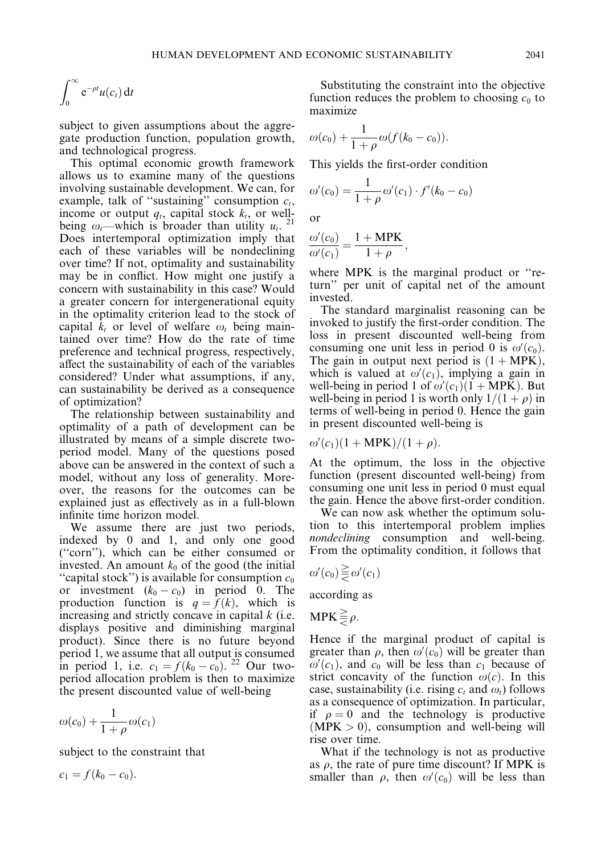$$
\int_0^\infty e^{-\rho t} u(c_t) dt
$$

subject to given assumptions about the aggregate production function, population growth, and technological progress.

This optimal economic growth framework allows us to examine many of the questions involving sustainable development. We can, for example, talk of "sustaining" consumption  $c_t$ , income or output  $q_t$ , capital stock  $k_t$ , or wellbeing  $\omega_t$ —which is broader than utility  $u_t$ . <sup>21</sup> Does intertemporal optimization imply that each of these variables will be nondeclining over time? If not, optimality and sustainability may be in conflict. How might one justify a concern with sustainability in this case? Would a greater concern for intergenerational equity in the optimality criterion lead to the stock of capital  $k_t$  or level of welfare  $\omega_t$  being maintained over time? How do the rate of time preference and technical progress, respectively, affect the sustainability of each of the variables considered? Under what assumptions, if any, can sustainability be derived as a consequence of optimization?

The relationship between sustainability and optimality of a path of development can be illustrated by means of a simple discrete twoperiod model. Many of the questions posed above can be answered in the context of such a model, without any loss of generality. Moreover, the reasons for the outcomes can be explained just as effectively as in a full-blown infinite time horizon model.

We assume there are just two periods, indexed by 0 and 1, and only one good ("corn"), which can be either consumed or invested. An amount  $k_0$  of the good (the initial "capital stock") is available for consumption  $c_0$ or investment  $(k_0 - c_0)$  in period 0. The production function is  $q = f(k)$ , which is increasing and strictly concave in capital  $k$  (i.e. displays positive and diminishing marginal product). Since there is no future beyond period 1, we assume that all output is consumed in period 1, i.e.  $c_1 = f(k_0 - c_0)$ . <sup>22</sup> Our twoperiod allocation problem is then to maximize the present discounted value of well-being

$$
\omega(c_0)+\frac{1}{1+\rho}\omega(c_1)
$$

subject to the constraint that

$$
c_1 = f(k_0 - c_0).
$$

Substituting the constraint into the objective function reduces the problem to choosing  $c_0$  to maximize

$$
\omega(c_0)+\frac{1}{1+\rho}\omega(f(k_0-c_0)).
$$

This yields the first-order condition

$$
\omega'(c_0) = \frac{1}{1+\rho} \omega'(c_1) \cdot f'(k_0 - c_0)
$$

or

$$
\frac{\omega'(c_0)}{\omega'(c_1)} = \frac{1 + \text{MPK}}{1 + \rho},
$$

where MPK is the marginal product or "return'' per unit of capital net of the amount invested.

The standard marginalist reasoning can be invoked to justify the first-order condition. The loss in present discounted well-being from consuming one unit less in period 0 is  $\omega'(c_0)$ . The gain in output next period is  $(1 + \text{MPK})$ , which is valued at  $\omega'(c_1)$ , implying a gain in well-being in period 1 of  $\omega'(c_1)(1 + \text{MPK})$ . But well-being in period 1 is worth only  $1/(1 + \rho)$  in terms of well-being in period 0. Hence the gain in present discounted well-being is

$$
\omega'(c_1)(1+MPK)/(1+\rho).
$$

At the optimum, the loss in the objective function (present discounted well-being) from consuming one unit less in period 0 must equal the gain. Hence the above first-order condition.

We can now ask whether the optimum solution to this intertemporal problem implies nondeclining consumption and well-being. From the optimality condition, it follows that

$$
\omega'(c_0) \geq \omega'(c_1)
$$

according as

$$
MPK \geq \rho.
$$

Hence if the marginal product of capital is greater than  $\rho$ , then  $\omega'(c_0)$  will be greater than  $\omega'(c_1)$ , and  $c_0$  will be less than  $c_1$  because of strict concavity of the function  $\omega(c)$ . In this case, sustainability (i.e. rising  $c_t$  and  $\omega_t$ ) follows as a consequence of optimization. In particular, if  $\rho = 0$  and the technology is productive  $(MPK > 0)$ , consumption and well-being will rise over time.

What if the technology is not as productive as  $\rho$ , the rate of pure time discount? If MPK is smaller than  $\rho$ , then  $\omega'(c_0)$  will be less than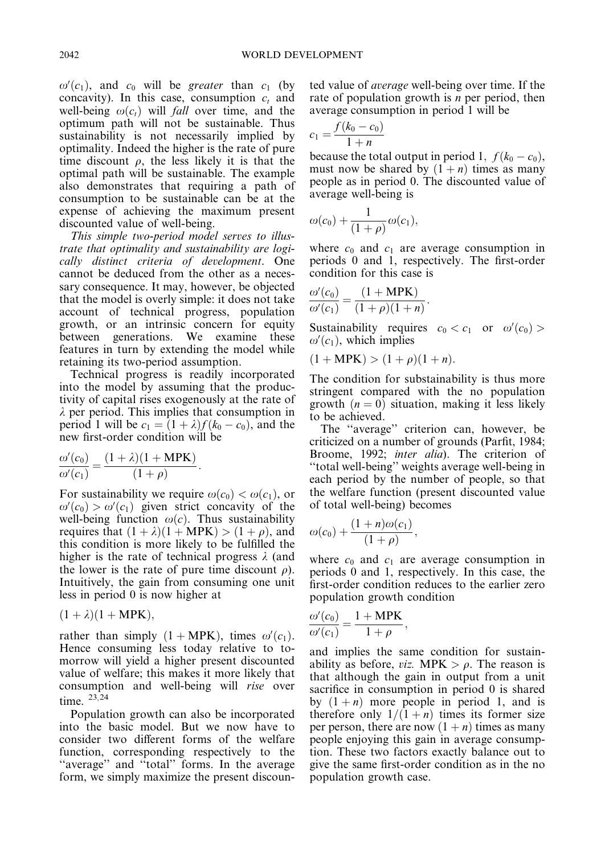$\omega'(c_1)$ , and  $c_0$  will be greater than  $c_1$  (by concavity). In this case, consumption  $c_t$  and well-being  $\omega(c_t)$  will fall over time, and the optimum path will not be sustainable. Thus sustainability is not necessarily implied by optimality. Indeed the higher is the rate of pure time discount  $\rho$ , the less likely it is that the optimal path will be sustainable. The example also demonstrates that requiring a path of consumption to be sustainable can be at the expense of achieving the maximum present discounted value of well-being.

This simple two-period model serves to illustrate that optimality and sustainability are logically distinct criteria of development. One cannot be deduced from the other as a necessary consequence. It may, however, be objected that the model is overly simple: it does not take account of technical progress, population growth, or an intrinsic concern for equity between generations. We examine these features in turn by extending the model while retaining its two-period assumption.

Technical progress is readily incorporated into the model by assuming that the productivity of capital rises exogenously at the rate of  $\lambda$  per period. This implies that consumption in period 1 will be  $c_1 = (1 + \lambda) f (k_0 - c_0)$ , and the new first-order condition will be

$$
\frac{\omega'(c_0)}{\omega'(c_1)} = \frac{(1+\lambda)(1+MPK)}{(1+\rho)}.
$$

For sustainability we require  $\omega(c_0) < \omega(c_1)$ , or  $\omega'(c_0) > \omega'(c_1)$  given strict concavity of the well-being function  $\omega(c)$ . Thus sustainability requires that  $(1 + \lambda)(1 + \text{MPK}) > (1 + \rho)$ , and this condition is more likely to be fulfilled the higher is the rate of technical progress  $\lambda$  (and the lower is the rate of pure time discount  $\rho$ ). Intuitively, the gain from consuming one unit less in period 0 is now higher at

$$
(1+\lambda)(1+MPK),
$$

rather than simply  $(1 + \text{MPK})$ , times  $\omega'(c_1)$ . Hence consuming less today relative to tomorrow will yield a higher present discounted value of welfare; this makes it more likely that consumption and well-being will rise over time. <sup>23</sup>;<sup>24</sup>

Population growth can also be incorporated into the basic model. But we now have to consider two different forms of the welfare function, corresponding respectively to the ``average'' and ``total'' forms. In the average form, we simply maximize the present discounted value of average well-being over time. If the rate of population growth is  $n$  per period, then average consumption in period 1 will be

$$
c_1 = \frac{f(k_0 - c_0)}{1 + n}
$$

because the total output in period 1,  $f(k_0 - c_0)$ , must now be shared by  $(1 + n)$  times as many people as in period 0. The discounted value of average well-being is

$$
\omega(c_0) + \frac{1}{(1+\rho)}\omega(c_1),
$$

where  $c_0$  and  $c_1$  are average consumption in periods 0 and 1, respectively. The first-order condition for this case is

$$
\frac{\omega'(c_0)}{\omega'(c_1)} = \frac{(1 + \text{MPK})}{(1 + \rho)(1 + n)}.
$$

Sustainability requires  $c_0 < c_1$  or  $\omega'(c_0) >$  $\omega'(c_1)$ , which implies

 $(1 + \text{MPK}) > (1 + \rho)(1 + n).$ 

The condition for substainability is thus more stringent compared with the no population growth  $(n = 0)$  situation, making it less likely to be achieved.

The "average" criterion can, however, be criticized on a number of grounds (Parfit, 1984; Broome, 1992; *inter alia*). The criterion of ``total well-being'' weights average well-being in each period by the number of people, so that the welfare function (present discounted value of total well-being) becomes

$$
\omega(c_0)+\frac{(1+n)\omega(c_1)}{(1+\rho)},
$$

where  $c_0$  and  $c_1$  are average consumption in periods 0 and 1, respectively. In this case, the first-order condition reduces to the earlier zero population growth condition

$$
\frac{\omega'(c_0)}{\omega'(c_1)} = \frac{1 + \text{MPK}}{1 + \rho},
$$

and implies the same condition for sustainability as before, *viz.* MPK  $> \rho$ . The reason is that although the gain in output from a unit sacrifice in consumption in period 0 is shared by  $(1 + n)$  more people in period 1, and is therefore only  $1/(1 + n)$  times its former size per person, there are now  $(1 + n)$  times as many people enjoying this gain in average consumption. These two factors exactly balance out to give the same first-order condition as in the no population growth case.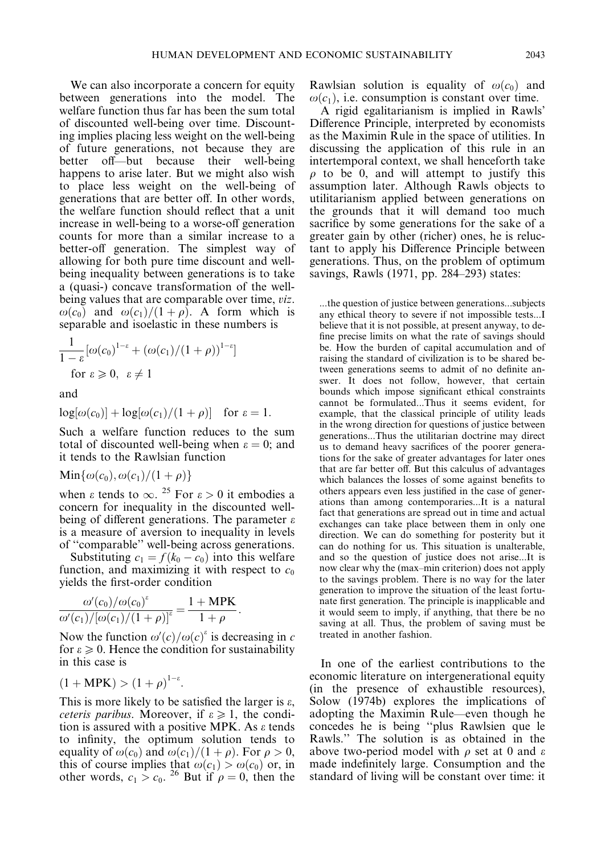We can also incorporate a concern for equity between generations into the model. The welfare function thus far has been the sum total of discounted well-being over time. Discounting implies placing less weight on the well-being of future generations, not because they are better off—but because their well-being happens to arise later. But we might also wish to place less weight on the well-being of generations that are better off. In other words, the welfare function should reflect that a unit increase in well-being to a worse-off generation counts for more than a similar increase to a better-off generation. The simplest way of allowing for both pure time discount and wellbeing inequality between generations is to take a (quasi-) concave transformation of the wellbeing values that are comparable over time, *viz*.  $\omega(c_0)$  and  $\omega(c_1)/(1+\rho)$ . A form which is separable and isoelastic in these numbers is

$$
\frac{1}{1-\varepsilon} [\omega(c_0)^{1-\varepsilon} + (\omega(c_1)/(1+\rho))^{1-\varepsilon}]
$$
  
for  $\varepsilon \ge 0$ ,  $\varepsilon \ne 1$ 

and

 $log[\omega(c_0)] + log[\omega(c_1)/(1+\rho)]$  for  $\varepsilon = 1$ .

Such a welfare function reduces to the sum total of discounted well-being when  $\varepsilon = 0$ ; and it tends to the Rawlsian function

$$
\min\{\omega(c_0),\omega(c_1)/(1+\rho)\}\
$$

when  $\varepsilon$  tends to  $\infty$ . <sup>25</sup> For  $\varepsilon > 0$  it embodies a concern for inequality in the discounted wellbeing of different generations. The parameter  $\varepsilon$ is a measure of aversion to inequality in levels of "comparable" well-being across generations.

Substituting  $c_1 = f(k_0 - c_0)$  into this welfare function, and maximizing it with respect to  $c_0$ yields the first-order condition

$$
\frac{\omega'(c_0)/\omega(c_0)^{\varepsilon}}{\omega'(c_1)/[\omega(c_1)/(1+\rho)]^{\varepsilon}} = \frac{1 + \text{MPK}}{1+\rho}.
$$

Now the function  $\omega'(c)/\omega(c)^s$  is decreasing in c for  $\epsilon \geq 0$ . Hence the condition for sustainability in this case is

$$
(1 + \text{MPK}) > (1 + \rho)^{1 - \varepsilon}.
$$

This is more likely to be satisfied the larger is  $\varepsilon$ , *ceteris paribus.* Moreover, if  $\varepsilon \geq 1$ , the condition is assured with a positive MPK. As  $\varepsilon$  tends to infinity, the optimum solution tends to equality of  $\omega(c_0)$  and  $\omega(c_1)/(1+\rho)$ . For  $\rho > 0$ , this of course implies that  $\omega(c_1) > \omega(c_0)$  or, in other words,  $c_1 > c_0$ . <sup>26</sup> But if  $\rho = 0$ , then the

Rawlsian solution is equality of  $\omega(c_0)$  and  $\omega(c_1)$ , i.e. consumption is constant over time.

A rigid egalitarianism is implied in Rawls' Difference Principle, interpreted by economists as the Maximin Rule in the space of utilities. In discussing the application of this rule in an intertemporal context, we shall henceforth take  $\rho$  to be 0, and will attempt to justify this assumption later. Although Rawls objects to utilitarianism applied between generations on the grounds that it will demand too much sacrifice by some generations for the sake of a greater gain by other (richer) ones, he is reluctant to apply his Difference Principle between generations. Thus, on the problem of optimum savings, Rawls  $(1971, pp. 284–293)$  states:

...the question of justice between generations...subjects any ethical theory to severe if not impossible tests...I believe that it is not possible, at present anyway, to de fine precise limits on what the rate of savings should be. How the burden of capital accumulation and of raising the standard of civilization is to be shared between generations seems to admit of no definite answer. It does not follow, however, that certain bounds which impose significant ethical constraints cannot be formulated...Thus it seems evident, for example, that the classical principle of utility leads in the wrong direction for questions of justice between generations...Thus the utilitarian doctrine may direct us to demand heavy sacrifices of the poorer generations for the sake of greater advantages for later ones that are far better off. But this calculus of advantages which balances the losses of some against benefits to others appears even less justified in the case of generations than among contemporaries...It is a natural fact that generations are spread out in time and actual exchanges can take place between them in only one direction. We can do something for posterity but it can do nothing for us. This situation is unalterable, and so the question of justice does not arise...It is now clear why the (max-min criterion) does not apply to the savings problem. There is no way for the later generation to improve the situation of the least fortunate first generation. The principle is inapplicable and it would seem to imply, if anything, that there be no saving at all. Thus, the problem of saving must be treated in another fashion.

In one of the earliest contributions to the economic literature on intergenerational equity (in the presence of exhaustible resources), Solow (1974b) explores the implications of adopting the Maximin Rule—even though he concedes he is being ``plus Rawlsien que le Rawls.'' The solution is as obtained in the above two-period model with  $\rho$  set at 0 and  $\varepsilon$ made indefinitely large. Consumption and the standard of living will be constant over time: it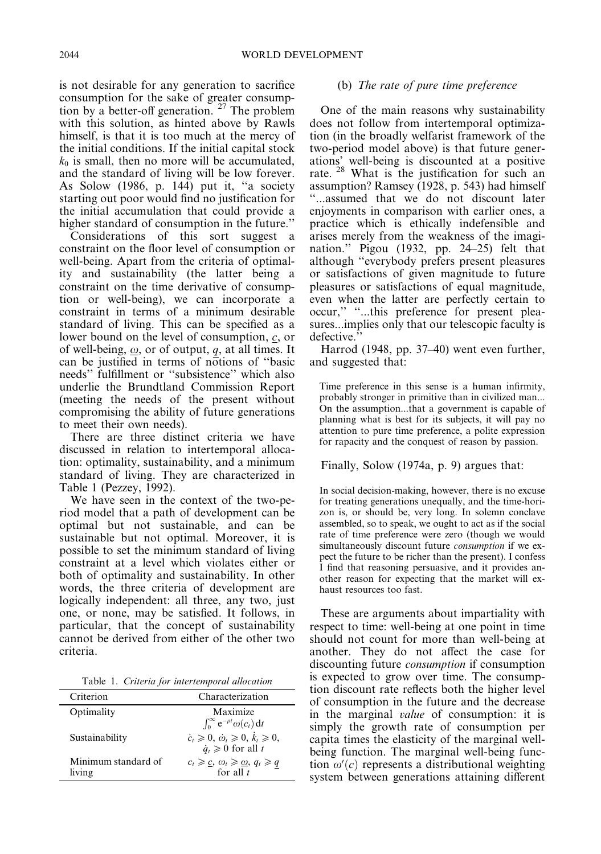is not desirable for any generation to sacrifice consumption for the sake of greater consumption by a better-off generation.  $27$  The problem with this solution, as hinted above by Rawls himself, is that it is too much at the mercy of the initial conditions. If the initial capital stock  $k_0$  is small, then no more will be accumulated. and the standard of living will be low forever. As Solow (1986, p. 144) put it, "a society starting out poor would find no justification for the initial accumulation that could provide a higher standard of consumption in the future.''

Considerations of this sort suggest a constraint on the floor level of consumption or well-being. Apart from the criteria of optimality and sustainability (the latter being a constraint on the time derivative of consumption or well-being), we can incorporate a constraint in terms of a minimum desirable standard of living. This can be specified as a lower bound on the level of consumption, c, or of well-being,  $\omega$ , or of output, q, at all times. It can be justified in terms of notions of "basic needs" fulfillment or "subsistence" which also underlie the Brundtland Commission Report (meeting the needs of the present without compromising the ability of future generations to meet their own needs).

There are three distinct criteria we have discussed in relation to intertemporal allocation: optimality, sustainability, and a minimum standard of living. They are characterized in Table 1 (Pezzey, 1992).

We have seen in the context of the two-period model that a path of development can be optimal but not sustainable, and can be sustainable but not optimal. Moreover, it is possible to set the minimum standard of living constraint at a level which violates either or both of optimality and sustainability. In other words, the three criteria of development are logically independent: all three, any two, just one, or none, may be satisfied. It follows, in particular, that the concept of sustainability cannot be derived from either of the other two criteria.

Table 1. Criteria for intertemporal allocation

| Criterion           | Characterization                                                                      |
|---------------------|---------------------------------------------------------------------------------------|
| Optimality          | Maximize                                                                              |
|                     | $\int_0^\infty e^{-\rho t}\omega(c_t) dt$                                             |
| Sustainability      | $\dot{c}_t \geq 0$ , $\dot{\omega}_t \geq 0$ , $\dot{k}_t \geq 0$ ,                   |
|                     | $\dot{q}_t \geq 0$ for all t                                                          |
| Minimum standard of | $c_t \geqslant \underline{c}, \omega_t \geqslant \underline{\omega}, q_t \geqslant q$ |
| living              | for all $t$                                                                           |

# (b) The rate of pure time preference

One of the main reasons why sustainability does not follow from intertemporal optimization (in the broadly welfarist framework of the two-period model above) is that future generations' well-being is discounted at a positive rate.  $28$  What is the justification for such an assumption? Ramsey (1928, p. 543) had himself ``...assumed that we do not discount later enjoyments in comparison with earlier ones, a practice which is ethically indefensible and arises merely from the weakness of the imagination." Pigou (1932, pp. 24-25) felt that although ``everybody prefers present pleasures or satisfactions of given magnitude to future pleasures or satisfactions of equal magnitude, even when the latter are perfectly certain to occur," "...this preference for present pleasures...implies only that our telescopic faculty is defective.''

Harrod (1948, pp.  $37-40$ ) went even further, and suggested that:

Time preference in this sense is a human infirmity, probably stronger in primitive than in civilized man... On the assumption...that a government is capable of planning what is best for its subjects, it will pay no attention to pure time preference, a polite expression for rapacity and the conquest of reason by passion.

### Finally, Solow (1974a, p. 9) argues that:

In social decision-making, however, there is no excuse for treating generations unequally, and the time-horizon is, or should be, very long. In solemn conclave assembled, so to speak, we ought to act as if the social rate of time preference were zero (though we would simultaneously discount future *consumption* if we expect the future to be richer than the present). I confess I find that reasoning persuasive, and it provides another reason for expecting that the market will exhaust resources too fast.

These are arguments about impartiality with respect to time: well-being at one point in time should not count for more than well-being at another. They do not affect the case for discounting future consumption if consumption is expected to grow over time. The consumption discount rate reflects both the higher level of consumption in the future and the decrease in the marginal value of consumption: it is simply the growth rate of consumption per capita times the elasticity of the marginal wellbeing function. The marginal well-being function  $\omega'(c)$  represents a distributional weighting system between generations attaining different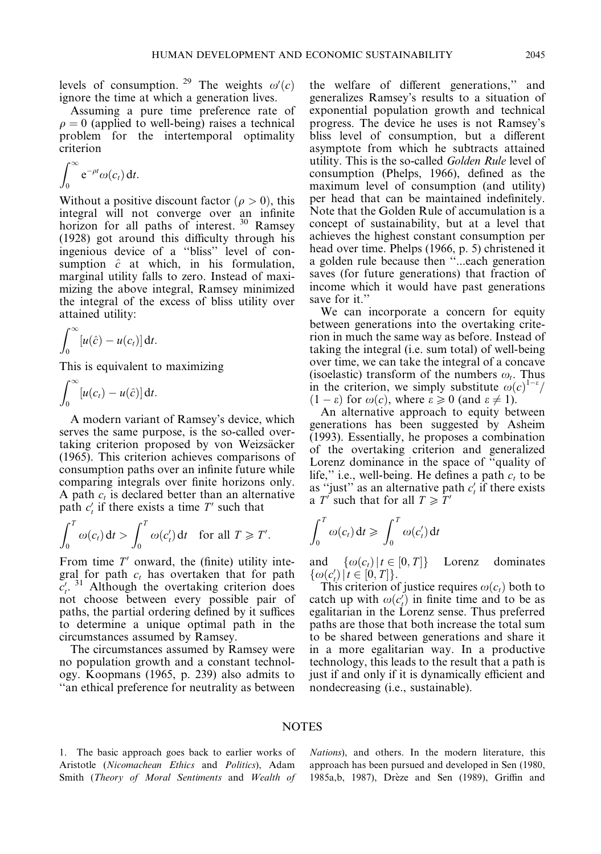levels of consumption.<sup>29</sup> The weights  $\omega'(c)$ ignore the time at which a generation lives.

Assuming a pure time preference rate of  $\rho = 0$  (applied to well-being) raises a technical problem for the intertemporal optimality criterion

$$
\int_0^\infty e^{-\rho t}\omega(c_t)\,dt.
$$

Without a positive discount factor ( $\rho > 0$ ), this integral will not converge over an infinite horizon for all paths of interest.  $30$  Ramsey  $(1928)$  got around this difficulty through his ingenious device of a "bliss" level of consumption  $\hat{c}$  at which, in his formulation, marginal utility falls to zero. Instead of maximizing the above integral, Ramsey minimized the integral of the excess of bliss utility over attained utility:

$$
\int_0^\infty [u(\hat{c})-u(c_t)]\,\mathrm{d}t.
$$

This is equivalent to maximizing

$$
\int_0^\infty [u(c_t)-u(\hat{c})] \, \mathrm{d}t.
$$

A modern variant of Ramsey's device, which serves the same purpose, is the so-called overtaking criterion proposed by von Weizsacker (1965). This criterion achieves comparisons of consumption paths over an infinite future while comparing integrals over finite horizons only. A path  $c_t$  is declared better than an alternative path  $c_t'$  if there exists a time T' such that

$$
\int_0^T \omega(c_t) dt > \int_0^T \omega(c'_t) dt \text{ for all } T \geq T'.
$$

From time  $T'$  onward, the (finite) utility integral for path  $c_t$  has overtaken that for path  $c_t'$ . <sup>31</sup> Although the overtaking criterion does not choose between every possible pair of paths, the partial ordering defined by it suffices to determine a unique optimal path in the circumstances assumed by Ramsey.

The circumstances assumed by Ramsey were no population growth and a constant technology. Koopmans (1965, p. 239) also admits to ``an ethical preference for neutrality as between

the welfare of different generations," and generalizes Ramsey's results to a situation of exponential population growth and technical progress. The device he uses is not Ramsey's bliss level of consumption, but a different asymptote from which he subtracts attained utility. This is the so-called Golden Rule level of consumption (Phelps, 1966), defined as the maximum level of consumption (and utility) per head that can be maintained indefinitely. Note that the Golden Rule of accumulation is a concept of sustainability, but at a level that achieves the highest constant consumption per head over time. Phelps (1966, p. 5) christened it a golden rule because then "...each generation saves (for future generations) that fraction of income which it would have past generations save for it.''

We can incorporate a concern for equity between generations into the overtaking criterion in much the same way as before. Instead of taking the integral (i.e. sum total) of well-being over time, we can take the integral of a concave (isoelastic) transform of the numbers  $\omega_t$ . Thus in the criterion, we simply substitute  $\omega(c)^{1-\varepsilon}/$  $(1 - \varepsilon)$  for  $\omega(c)$ , where  $\varepsilon \geq 0$  (and  $\varepsilon \neq 1$ ).

An alternative approach to equity between generations has been suggested by Asheim (1993). Essentially, he proposes a combination of the overtaking criterion and generalized Lorenz dominance in the space of "quality of life," i.e., well-being. He defines a path  $c_t$  to be as "just" as an alternative path  $c'_t$  if there exists a T' such that for all  $T \geq T'$ 

$$
\int_0^T \omega(c_t) dt \geqslant \int_0^T \omega(c_t') dt
$$

and  $\{\omega(c_t) | t \in [0, T] \}$  Lorenz dominates  $\{\omega(c'_t) | t \in [0, T] \}.$ 

This criterion of justice requires  $\omega(c_t)$  both to catch up with  $\omega(c_i)$  in finite time and to be as egalitarian in the Lorenz sense. Thus preferred paths are those that both increase the total sum to be shared between generations and share it in a more egalitarian way. In a productive technology, this leads to the result that a path is just if and only if it is dynamically efficient and nondecreasing (i.e., sustainable).

## **NOTES**

1. The basic approach goes back to earlier works of Aristotle (Nicomachean Ethics and Politics), Adam Smith (Theory of Moral Sentiments and Wealth of

Nations), and others. In the modern literature, this approach has been pursued and developed in Sen (1980, 1985a,b, 1987), Drèze and Sen (1989), Griffin and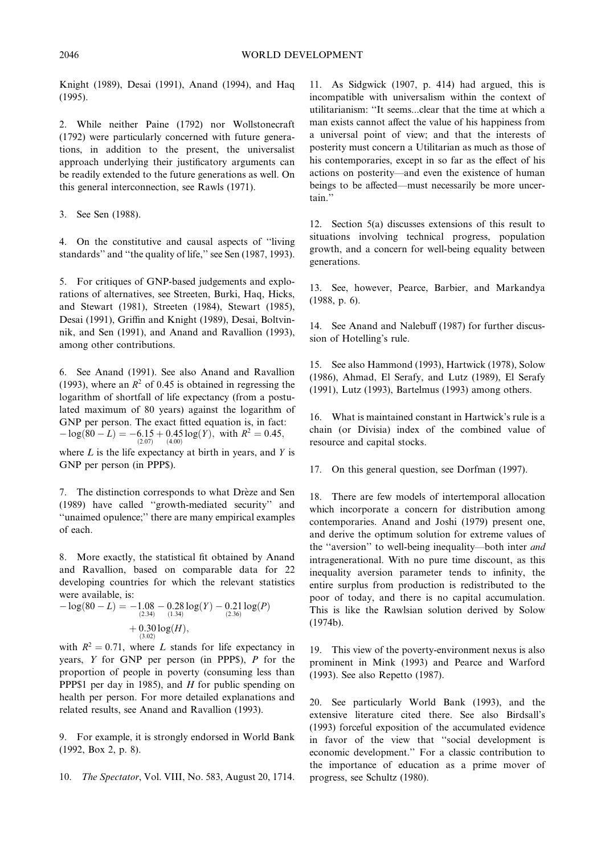Knight (1989), Desai (1991), Anand (1994), and Haq (1995).

2. While neither Paine (1792) nor Wollstonecraft (1792) were particularly concerned with future generations, in addition to the present, the universalist approach underlying their justificatory arguments can be readily extended to the future generations as well. On this general interconnection, see Rawls (1971).

3. See Sen (1988).

4. On the constitutive and causal aspects of "living" standards" and "the quality of life," see Sen (1987, 1993).

5. For critiques of GNP-based judgements and explorations of alternatives, see Streeten, Burki, Haq, Hicks, and Stewart (1981), Streeten (1984), Stewart (1985), Desai (1991), Griffin and Knight (1989), Desai, Boltvinnik, and Sen (1991), and Anand and Ravallion (1993), among other contributions.

6. See Anand (1991). See also Anand and Ravallion (1993), where an  $R^2$  of 0.45 is obtained in regressing the logarithm of shortfall of life expectancy (from a postulated maximum of 80 years) against the logarithm of GNP per person. The exact fitted equation is, in fact:  $- \log(80 - L) = -6.15 + 0.45 \log(Y)$ , with  $R^2 = 0.45$ ,

where  $L$  is the life expectancy at birth in years, and  $Y$  is GNP per person (in PPP\$).

7. The distinction corresponds to what Drèze and Sen (1989) have called ``growth-mediated security'' and ``unaimed opulence;'' there are many empirical examples of each.

8. More exactly, the statistical fit obtained by Anand and Ravallion, based on comparable data for 22 developing countries for which the relevant statistics were available, is:

$$
-\log(80 - L) = -1.08 - 0.28 \log(Y) - 0.21 \log(P) + 0.30 \log(H), + 0.302 \log(H),
$$

with  $R^2 = 0.71$ , where L stands for life expectancy in years,  $Y$  for GNP per person (in PPP\$),  $P$  for the proportion of people in poverty (consuming less than PPP\$1 per day in 1985), and  $H$  for public spending on health per person. For more detailed explanations and related results, see Anand and Ravallion (1993).

9. For example, it is strongly endorsed in World Bank (1992, Box 2, p. 8).

11. As Sidgwick (1907, p. 414) had argued, this is incompatible with universalism within the context of utilitarianism: "It seems...clear that the time at which a man exists cannot affect the value of his happiness from a universal point of view; and that the interests of posterity must concern a Utilitarian as much as those of his contemporaries, except in so far as the effect of his actions on posterity—and even the existence of human beings to be affected—must necessarily be more uncertain.''

12. Section 5(a) discusses extensions of this result to situations involving technical progress, population growth, and a concern for well-being equality between generations.

13. See, however, Pearce, Barbier, and Markandya (1988, p. 6).

14. See Anand and Nalebuff (1987) for further discussion of Hotelling's rule.

15. See also Hammond (1993), Hartwick (1978), Solow (1986), Ahmad, El Serafy, and Lutz (1989), El Serafy (1991), Lutz (1993), Bartelmus (1993) among others.

16. What is maintained constant in Hartwick's rule is a chain (or Divisia) index of the combined value of resource and capital stocks.

17. On this general question, see Dorfman (1997).

18. There are few models of intertemporal allocation which incorporate a concern for distribution among contemporaries. Anand and Joshi (1979) present one, and derive the optimum solution for extreme values of the "aversion" to well-being inequality—both inter and intragenerational. With no pure time discount, as this inequality aversion parameter tends to infinity, the entire surplus from production is redistributed to the poor of today, and there is no capital accumulation. This is like the Rawlsian solution derived by Solow (1974b).

19. This view of the poverty-environment nexus is also prominent in Mink (1993) and Pearce and Warford (1993). See also Repetto (1987).

20. See particularly World Bank (1993), and the extensive literature cited there. See also Birdsall's (1993) forceful exposition of the accumulated evidence in favor of the view that "social development is economic development.'' For a classic contribution to the importance of education as a prime mover of progress, see Schultz (1980).

<sup>10.</sup> The Spectator, Vol. VIII, No. 583, August 20, 1714.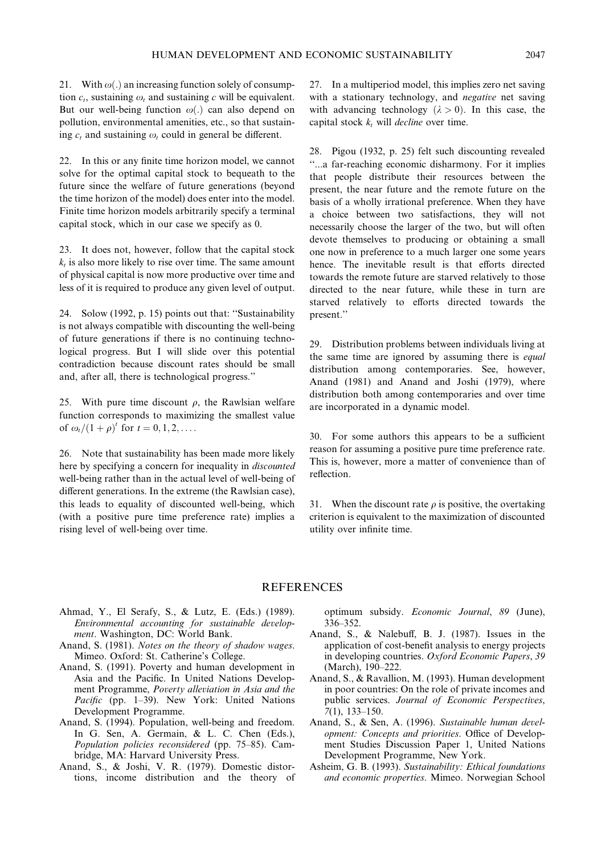21. With  $\omega(.)$  an increasing function solely of consumption  $c_t$ , sustaining  $\omega_t$  and sustaining c will be equivalent. But our well-being function  $\omega(.)$  can also depend on pollution, environmental amenities, etc., so that sustaining  $c_t$  and sustaining  $\omega_t$  could in general be different.

22. In this or any finite time horizon model, we cannot solve for the optimal capital stock to bequeath to the future since the welfare of future generations (beyond the time horizon of the model) does enter into the model. Finite time horizon models arbitrarily specify a terminal capital stock, which in our case we specify as 0.

23. It does not, however, follow that the capital stock  $k_t$  is also more likely to rise over time. The same amount of physical capital is now more productive over time and less of it is required to produce any given level of output.

24. Solow (1992, p. 15) points out that: "Sustainability is not always compatible with discounting the well-being of future generations if there is no continuing technological progress. But I will slide over this potential contradiction because discount rates should be small and, after all, there is technological progress.''

25. With pure time discount  $\rho$ , the Rawlsian welfare function corresponds to maximizing the smallest value of  $\omega_t/(1+\rho)^t$  for  $t = 0, 1, 2, ...$ 

26. Note that sustainability has been made more likely here by specifying a concern for inequality in discounted well-being rather than in the actual level of well-being of different generations. In the extreme (the Rawlsian case), this leads to equality of discounted well-being, which (with a positive pure time preference rate) implies a rising level of well-being over time.

27. In a multiperiod model, this implies zero net saving with a stationary technology, and *negative* net saving with advancing technology  $(\lambda > 0)$ . In this case, the capital stock  $k_t$  will *decline* over time.

28. Pigou (1932, p. 25) felt such discounting revealed ``...a far-reaching economic disharmony. For it implies that people distribute their resources between the present, the near future and the remote future on the basis of a wholly irrational preference. When they have a choice between two satisfactions, they will not necessarily choose the larger of the two, but will often devote themselves to producing or obtaining a small one now in preference to a much larger one some years hence. The inevitable result is that efforts directed towards the remote future are starved relatively to those directed to the near future, while these in turn are starved relatively to efforts directed towards the present.''

29. Distribution problems between individuals living at the same time are ignored by assuming there is *equal* distribution among contemporaries. See, however, Anand (1981) and Anand and Joshi (1979), where distribution both among contemporaries and over time are incorporated in a dynamic model.

30. For some authors this appears to be a sufficient reason for assuming a positive pure time preference rate. This is, however, more a matter of convenience than of reflection.

31. When the discount rate  $\rho$  is positive, the overtaking criterion is equivalent to the maximization of discounted utility over infinite time.

# **REFERENCES**

- Ahmad, Y., El Serafy, S., & Lutz, E. (Eds.) (1989). Environmental accounting for sustainable development. Washington, DC: World Bank.
- Anand, S. (1981). Notes on the theory of shadow wages. Mimeo. Oxford: St. Catherine's College.
- Anand, S. (1991). Poverty and human development in Asia and the Pacific. In United Nations Development Programme, Poverty alleviation in Asia and the Pacific (pp. 1-39). New York: United Nations Development Programme.
- Anand, S. (1994). Population, well-being and freedom. In G. Sen, A. Germain, & L. C. Chen (Eds.), Population policies reconsidered (pp. 75-85). Cambridge, MA: Harvard University Press.
- Anand, S., & Joshi, V. R. (1979). Domestic distortions, income distribution and the theory of

optimum subsidy. Economic Journal, 89 (June), 336±352.

- Anand, S.,  $\&$  Nalebuff, B. J. (1987). Issues in the application of cost-benefit analysis to energy projects in developing countries. Oxford Economic Papers, 39 (March), 190-222.
- Anand, S., & Ravallion, M. (1993). Human development in poor countries: On the role of private incomes and public services. Journal of Economic Perspectives,  $7(1)$ , 133-150.
- Anand, S., & Sen, A. (1996). Sustainable human development: Concepts and priorities. Office of Development Studies Discussion Paper 1, United Nations Development Programme, New York.
- Asheim, G. B. (1993). Sustainability: Ethical foundations and economic properties. Mimeo. Norwegian School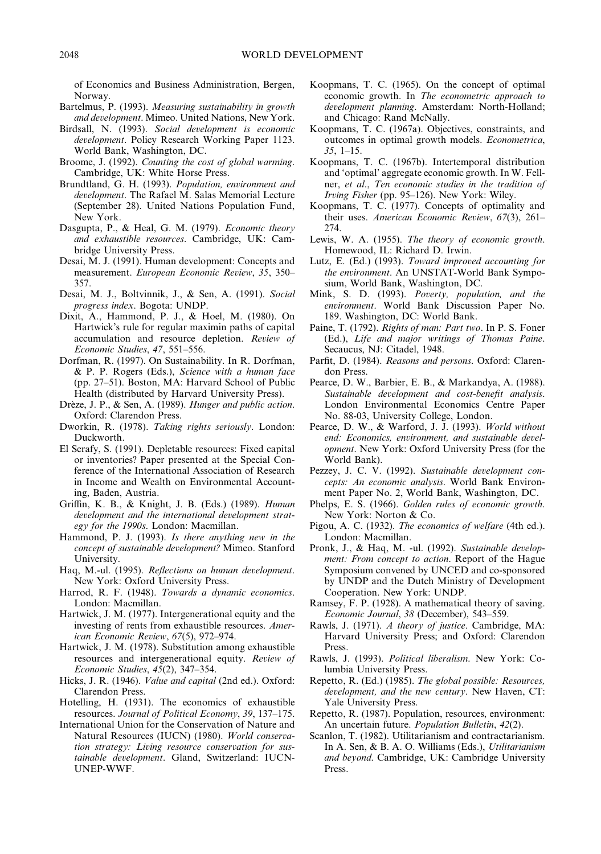of Economics and Business Administration, Bergen, Norway.

- Bartelmus, P. (1993). Measuring sustainability in growth and development. Mimeo. United Nations, New York.
- Birdsall, N. (1993). Social development is economic development. Policy Research Working Paper 1123. World Bank, Washington, DC.
- Broome, J. (1992). Counting the cost of global warming. Cambridge, UK: White Horse Press.
- Brundtland, G. H. (1993). Population, environment and development. The Rafael M. Salas Memorial Lecture (September 28). United Nations Population Fund, New York.
- Dasgupta, P., & Heal, G. M. (1979). Economic theory and exhaustible resources. Cambridge, UK: Cambridge University Press.
- Desai, M. J. (1991). Human development: Concepts and measurement. European Economic Review, 35, 350-357.
- Desai, M. J., Boltvinnik, J., & Sen, A. (1991). Social progress index. Bogota: UNDP.
- Dixit, A., Hammond, P. J., & Hoel, M. (1980). On Hartwick's rule for regular maximin paths of capital accumulation and resource depletion. Review of Economic Studies, 47, 551-556.
- Dorfman, R. (1997). On Sustainability. In R. Dorfman, & P. P. Rogers (Eds.), Science with a human face (pp. 27-51). Boston, MA: Harvard School of Public Health (distributed by Harvard University Press).
- Drèze, J. P., & Sen, A. (1989). Hunger and public action. Oxford: Clarendon Press.
- Dworkin, R. (1978). Taking rights seriously. London: Duckworth.
- El Serafy, S. (1991). Depletable resources: Fixed capital or inventories? Paper presented at the Special Conference of the International Association of Research in Income and Wealth on Environmental Accounting, Baden, Austria.
- Griffin, K. B., & Knight, J. B. (Eds.) (1989). Human development and the international development strategy for the 1990s. London: Macmillan.
- Hammond, P. J. (1993). Is there anything new in the concept of sustainable development? Mimeo. Stanford University.
- Haq, M.-ul. (1995). Reflections on human development. New York: Oxford University Press.
- Harrod, R. F. (1948). Towards a dynamic economics. London: Macmillan.
- Hartwick, J. M. (1977). Intergenerational equity and the investing of rents from exhaustible resources. American Economic Review, 67(5), 972-974.
- Hartwick, J. M. (1978). Substitution among exhaustible resources and intergenerational equity. Review of Economic Studies, 45(2), 347-354.
- Hicks, J. R. (1946). Value and capital (2nd ed.). Oxford: Clarendon Press.
- Hotelling, H. (1931). The economics of exhaustible resources. Journal of Political Economy, 39, 137-175.
- International Union for the Conservation of Nature and Natural Resources (IUCN) (1980). World conservation strategy: Living resource conservation for sustainable development. Gland, Switzerland: IUCN-UNEP-WWF.
- Koopmans, T. C. (1965). On the concept of optimal economic growth. In The econometric approach to development planning. Amsterdam: North-Holland; and Chicago: Rand McNally.
- Koopmans, T. C. (1967a). Objectives, constraints, and outcomes in optimal growth models. Econometrica,  $35, 1-15.$
- Koopmans, T. C. (1967b). Intertemporal distribution and `optimal' aggregate economic growth. In W. Fellner, et al., Ten economic studies in the tradition of Irving Fisher (pp. 95-126). New York: Wiley.
- Koopmans, T. C. (1977). Concepts of optimality and their uses. American Economic Review, 67(3), 261-274.
- Lewis, W. A. (1955). The theory of economic growth. Homewood, IL: Richard D. Irwin.
- Lutz, E. (Ed.) (1993). Toward improved accounting for the environment. An UNSTAT-World Bank Symposium, World Bank, Washington, DC.
- Mink, S. D. (1993). Poverty, population, and the environment. World Bank Discussion Paper No. 189. Washington, DC: World Bank.
- Paine, T. (1792). Rights of man: Part two. In P. S. Foner (Ed.), Life and major writings of Thomas Paine. Secaucus, NJ: Citadel, 1948.
- Parfit, D. (1984). Reasons and persons. Oxford: Clarendon Press.
- Pearce, D. W., Barbier, E. B., & Markandya, A. (1988). Sustainable development and cost-benefit analysis. London Environmental Economics Centre Paper No. 88-03, University College, London.
- Pearce, D. W., & Warford, J. J. (1993). World without end: Economics, environment, and sustainable development. New York: Oxford University Press (for the World Bank).
- Pezzey, J. C. V. (1992). Sustainable development concepts: An economic analysis. World Bank Environment Paper No. 2, World Bank, Washington, DC.
- Phelps, E. S. (1966). Golden rules of economic growth. New York: Norton & Co.
- Pigou, A. C. (1932). The economics of welfare (4th ed.). London: Macmillan.
- Pronk, J., & Haq, M. -ul. (1992). Sustainable development: From concept to action. Report of the Hague Symposium convened by UNCED and co-sponsored by UNDP and the Dutch Ministry of Development Cooperation. New York: UNDP.
- Ramsey, F. P. (1928). A mathematical theory of saving. Economic Journal, 38 (December), 543-559.
- Rawls, J. (1971). A theory of justice. Cambridge, MA: Harvard University Press; and Oxford: Clarendon Press.
- Rawls, J. (1993). Political liberalism. New York: Columbia University Press.
- Repetto, R. (Ed.) (1985). The global possible: Resources, development, and the new century. New Haven, CT: Yale University Press.
- Repetto, R. (1987). Population, resources, environment: An uncertain future. Population Bulletin, 42(2).
- Scanlon, T. (1982). Utilitarianism and contractarianism. In A. Sen, & B. A. O. Williams (Eds.), Utilitarianism and beyond. Cambridge, UK: Cambridge University Press.